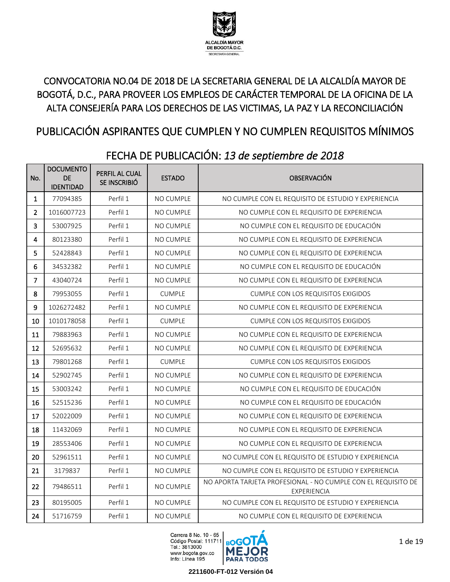

### CONVOCATORIA NO.04 DE 2018 DE LA SECRETARIA GENERAL DE LA ALCALDÍA MAYOR DE BOGOTÁ, D.C., PARA PROVEER LOS EMPLEOS DE CARÁCTER TEMPORAL DE LA OFICINA DE LA ALTA CONSEJERÍA PARA LOS DERECHOS DE LAS VICTIMAS, LA PAZ Y LA RECONCILIACIÓN

# PUBLICACIÓN ASPIRANTES QUE CUMPLEN Y NO CUMPLEN REQUISITOS MÍNIMOS

| No.            | <b>DOCUMENTO</b><br><b>DE</b><br><b>IDENTIDAD</b> | PERFIL AL CUAL<br>SE INSCRIBIÓ | <b>ESTADO</b>    | <b>OBSERVACIÓN</b>                                                           |
|----------------|---------------------------------------------------|--------------------------------|------------------|------------------------------------------------------------------------------|
| 1              | 77094385                                          | Perfil 1                       | <b>NO CUMPLE</b> | NO CUMPLE CON EL REQUISITO DE ESTUDIO Y EXPERIENCIA                          |
| $\overline{2}$ | 1016007723                                        | Perfil 1                       | NO CUMPLE        | NO CUMPLE CON EL REQUISITO DE EXPERIENCIA                                    |
| 3              | 53007925                                          | Perfil 1                       | <b>NO CUMPLE</b> | NO CUMPLE CON EL REQUISITO DE EDUCACIÓN                                      |
| 4              | 80123380                                          | Perfil 1                       | <b>NO CUMPLE</b> | NO CUMPLE CON EL REQUISITO DE EXPERIENCIA                                    |
| 5              | 52428843                                          | Perfil 1                       | NO CUMPLE        | NO CUMPLE CON EL REQUISITO DE EXPERIENCIA                                    |
| 6              | 34532382                                          | Perfil 1                       | NO CUMPLE        | NO CUMPLE CON EL REQUISITO DE EDUCACIÓN                                      |
| 7              | 43040724                                          | Perfil 1                       | <b>NO CUMPLE</b> | NO CUMPLE CON EL REQUISITO DE EXPERIENCIA                                    |
| 8              | 79953055                                          | Perfil 1                       | <b>CUMPLE</b>    | <b>CUMPLE CON LOS REQUISITOS EXIGIDOS</b>                                    |
| 9              | 1026272482                                        | Perfil 1                       | <b>NO CUMPLE</b> | NO CUMPLE CON EL REQUISITO DE EXPERIENCIA                                    |
| 10             | 1010178058                                        | Perfil 1                       | <b>CUMPLE</b>    | <b>CUMPLE CON LOS REQUISITOS EXIGIDOS</b>                                    |
| 11             | 79883963                                          | Perfil 1                       | <b>NO CUMPLE</b> | NO CUMPLE CON EL REQUISITO DE EXPERIENCIA                                    |
| 12             | 52695632                                          | Perfil 1                       | <b>NO CUMPLE</b> | NO CUMPLE CON EL REQUISITO DE EXPERIENCIA                                    |
| 13             | 79801268                                          | Perfil 1                       | <b>CUMPLE</b>    | <b>CUMPLE CON LOS REQUISITOS EXIGIDOS</b>                                    |
| 14             | 52902745                                          | Perfil 1                       | <b>NO CUMPLE</b> | NO CUMPLE CON EL REQUISITO DE EXPERIENCIA                                    |
| 15             | 53003242                                          | Perfil 1                       | <b>NO CUMPLE</b> | NO CUMPLE CON EL REQUISITO DE EDUCACIÓN                                      |
| 16             | 52515236                                          | Perfil 1                       | <b>NO CUMPLE</b> | NO CUMPLE CON EL REQUISITO DE EDUCACIÓN                                      |
| 17             | 52022009                                          | Perfil 1                       | NO CUMPLE        | NO CUMPLE CON EL REQUISITO DE EXPERIENCIA                                    |
| 18             | 11432069                                          | Perfil 1                       | <b>NO CUMPLE</b> | NO CUMPLE CON EL REQUISITO DE EXPERIENCIA                                    |
| 19             | 28553406                                          | Perfil 1                       | <b>NO CUMPLE</b> | NO CUMPLE CON EL REQUISITO DE EXPERIENCIA                                    |
| 20             | 52961511                                          | Perfil 1                       | <b>NO CUMPLE</b> | NO CUMPLE CON EL REQUISITO DE ESTUDIO Y EXPERIENCIA                          |
| 21             | 3179837                                           | Perfil 1                       | <b>NO CUMPLE</b> | NO CUMPLE CON EL REQUISITO DE ESTUDIO Y EXPERIENCIA                          |
| 22             | 79486511                                          | Perfil 1                       | <b>NO CUMPLE</b> | NO APORTA TARJETA PROFESIONAL - NO CUMPLE CON EL REQUISITO DE<br>EXPERIENCIA |
| 23             | 80195005                                          | Perfil 1                       | <b>NO CUMPLE</b> | NO CUMPLE CON EL REQUISITO DE ESTUDIO Y EXPERIENCIA                          |
| 24             | 51716759                                          | Perfil 1                       | <b>NO CUMPLE</b> | NO CUMPLE CON EL REQUISITO DE EXPERIENCIA                                    |

## FECHA DE PUBLICACIÓN: *13 de septiembre de 2018*

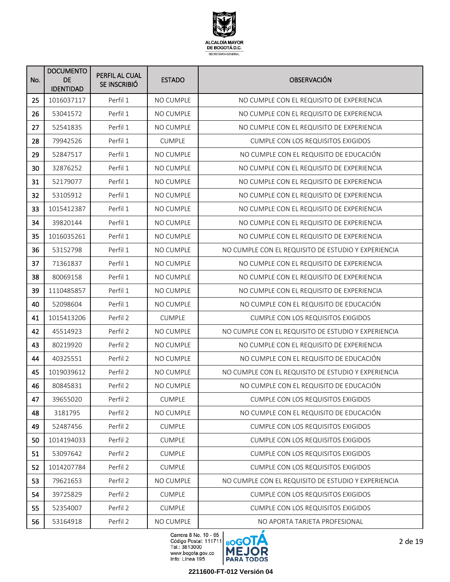

| No. | <b>DOCUMENTO</b><br><b>DE</b><br><b>IDENTIDAD</b> | PERFIL AL CUAL<br>SE INSCRIBIÓ | <b>ESTADO</b>    | <b>OBSERVACIÓN</b>                                  |
|-----|---------------------------------------------------|--------------------------------|------------------|-----------------------------------------------------|
| 25  | 1016037117                                        | Perfil 1                       | NO CUMPLE        | NO CUMPLE CON EL REQUISITO DE EXPERIENCIA           |
| 26  | 53041572                                          | Perfil 1                       | NO CUMPLE        | NO CUMPLE CON EL REQUISITO DE EXPERIENCIA           |
| 27  | 52541835                                          | Perfil 1                       | <b>NO CUMPLE</b> | NO CUMPLE CON EL REQUISITO DE EXPERIENCIA           |
| 28  | 79942526                                          | Perfil 1                       | <b>CUMPLE</b>    | <b>CUMPLE CON LOS REQUISITOS EXIGIDOS</b>           |
| 29  | 52847517                                          | Perfil 1                       | NO CUMPLE        | NO CUMPLE CON EL REQUISITO DE EDUCACIÓN             |
| 30  | 32876252                                          | Perfil 1                       | NO CUMPLE        | NO CUMPLE CON EL REQUISITO DE EXPERIENCIA           |
| 31  | 52179077                                          | Perfil 1                       | <b>NO CUMPLE</b> | NO CUMPLE CON EL REQUISITO DE EXPERIENCIA           |
| 32  | 53105912                                          | Perfil 1                       | NO CUMPLE        | NO CUMPLE CON EL REQUISITO DE EXPERIENCIA           |
| 33  | 1015412387                                        | Perfil 1                       | NO CUMPLE        | NO CUMPLE CON EL REQUISITO DE EXPERIENCIA           |
| 34  | 39820144                                          | Perfil 1                       | NO CUMPLE        | NO CUMPLE CON EL REQUISITO DE EXPERIENCIA           |
| 35  | 1016035261                                        | Perfil 1                       | NO CUMPLE        | NO CUMPLE CON EL REQUISITO DE EXPERIENCIA           |
| 36  | 53152798                                          | Perfil 1                       | <b>NO CUMPLE</b> | NO CUMPLE CON EL REQUISITO DE ESTUDIO Y EXPERIENCIA |
| 37  | 71361837                                          | Perfil 1                       | NO CUMPLE        | NO CUMPLE CON EL REQUISITO DE EXPERIENCIA           |
| 38  | 80069158                                          | Perfil 1                       | NO CUMPLE        | NO CUMPLE CON EL REQUISITO DE EXPERIENCIA           |
| 39  | 1110485857                                        | Perfil 1                       | NO CUMPLE        | NO CUMPLE CON EL REQUISITO DE EXPERIENCIA           |
| 40  | 52098604                                          | Perfil 1                       | NO CUMPLE        | NO CUMPLE CON EL REQUISITO DE EDUCACIÓN             |
| 41  | 1015413206                                        | Perfil 2                       | <b>CUMPLE</b>    | <b>CUMPLE CON LOS REQUISITOS EXIGIDOS</b>           |
| 42  | 45514923                                          | Perfil 2                       | NO CUMPLE        | NO CUMPLE CON EL REQUISITO DE ESTUDIO Y EXPERIENCIA |
| 43  | 80219920                                          | Perfil 2                       | NO CUMPLE        | NO CUMPLE CON EL REQUISITO DE EXPERIENCIA           |
| 44  | 40325551                                          | Perfil 2                       | NO CUMPLE        | NO CUMPLE CON EL REQUISITO DE EDUCACIÓN             |
| 45  | 1019039612                                        | Perfil 2                       | <b>NO CUMPLE</b> | NO CUMPLE CON EL REQUISITO DE ESTUDIO Y EXPERIENCIA |
| 46  | 80845831                                          | Perfil 2                       | NO CUMPLE        | NO CUMPLE CON EL REQUISITO DE EDUCACIÓN             |
| 47  | 39655020                                          | Perfil 2                       | <b>CUMPLE</b>    | CUMPLE CON LOS REQUISITOS EXIGIDOS                  |
| 48  | 3181795                                           | Perfil 2                       | NO CUMPLE        | NO CUMPLE CON EL REQUISITO DE EDUCACIÓN             |
| 49  | 52487456                                          | Perfil 2                       | <b>CUMPLE</b>    | <b>CUMPLE CON LOS REQUISITOS EXIGIDOS</b>           |
| 50  | 1014194033                                        | Perfil 2                       | <b>CUMPLE</b>    | <b>CUMPLE CON LOS REQUISITOS EXIGIDOS</b>           |
| 51  | 53097642                                          | Perfil 2                       | <b>CUMPLE</b>    | CUMPLE CON LOS REQUISITOS EXIGIDOS                  |
| 52  | 1014207784                                        | Perfil 2                       | <b>CUMPLE</b>    | <b>CUMPLE CON LOS REQUISITOS EXIGIDOS</b>           |
| 53  | 79621653                                          | Perfil 2                       | NO CUMPLE        | NO CUMPLE CON EL REQUISITO DE ESTUDIO Y EXPERIENCIA |
| 54  | 39725829                                          | Perfil 2                       | <b>CUMPLE</b>    | <b>CUMPLE CON LOS REQUISITOS EXIGIDOS</b>           |
| 55  | 52354007                                          | Perfil 2                       | <b>CUMPLE</b>    | <b>CUMPLE CON LOS REQUISITOS EXIGIDOS</b>           |
| 56  | 53164918                                          | Perfil 2                       | NO CUMPLE        | NO APORTA TARJETA PROFESIONAL                       |

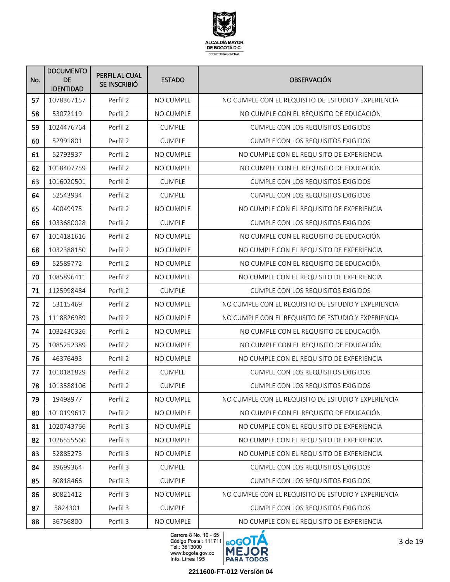

| No. | <b>DOCUMENTO</b><br><b>DE</b><br><b>IDENTIDAD</b> | PERFIL AL CUAL<br>SE INSCRIBIÓ | <b>ESTADO</b>    | <b>OBSERVACIÓN</b>                                  |
|-----|---------------------------------------------------|--------------------------------|------------------|-----------------------------------------------------|
| 57  | 1078367157                                        | Perfil 2                       | <b>NO CUMPLE</b> | NO CUMPLE CON EL REQUISITO DE ESTUDIO Y EXPERIENCIA |
| 58  | 53072119                                          | Perfil 2                       | NO CUMPLE        | NO CUMPLE CON EL REQUISITO DE EDUCACIÓN             |
| 59  | 1024476764                                        | Perfil 2                       | <b>CUMPLE</b>    | <b>CUMPLE CON LOS REQUISITOS EXIGIDOS</b>           |
| 60  | 52991801                                          | Perfil 2                       | <b>CUMPLE</b>    | <b>CUMPLE CON LOS REQUISITOS EXIGIDOS</b>           |
| 61  | 52793937                                          | Perfil 2                       | <b>NO CUMPLE</b> | NO CUMPLE CON EL REQUISITO DE EXPERIENCIA           |
| 62  | 1018407759                                        | Perfil 2                       | <b>NO CUMPLE</b> | NO CUMPLE CON EL REQUISITO DE EDUCACIÓN             |
| 63  | 1016020501                                        | Perfil 2                       | <b>CUMPLE</b>    | <b>CUMPLE CON LOS REQUISITOS EXIGIDOS</b>           |
| 64  | 52543934                                          | Perfil 2                       | <b>CUMPLE</b>    | <b>CUMPLE CON LOS REQUISITOS EXIGIDOS</b>           |
| 65  | 40049975                                          | Perfil 2                       | <b>NO CUMPLE</b> | NO CUMPLE CON EL REQUISITO DE EXPERIENCIA           |
| 66  | 1033680028                                        | Perfil 2                       | <b>CUMPLE</b>    | <b>CUMPLE CON LOS REQUISITOS EXIGIDOS</b>           |
| 67  | 1014181616                                        | Perfil 2                       | <b>NO CUMPLE</b> | NO CUMPLE CON EL REQUISITO DE EDUCACIÓN             |
| 68  | 1032388150                                        | Perfil 2                       | <b>NO CUMPLE</b> | NO CUMPLE CON EL REQUISITO DE EXPERIENCIA           |
| 69  | 52589772                                          | Perfil 2                       | NO CUMPLE        | NO CUMPLE CON EL REQUISITO DE EDUCACIÓN             |
| 70  | 1085896411                                        | Perfil 2                       | NO CUMPLE        | NO CUMPLE CON EL REQUISITO DE EXPERIENCIA           |
| 71  | 1125998484                                        | Perfil 2                       | <b>CUMPLE</b>    | <b>CUMPLE CON LOS REQUISITOS EXIGIDOS</b>           |
| 72  | 53115469                                          | Perfil 2                       | NO CUMPLE        | NO CUMPLE CON EL REQUISITO DE ESTUDIO Y EXPERIENCIA |
| 73  | 1118826989                                        | Perfil 2                       | NO CUMPLE        | NO CUMPLE CON EL REQUISITO DE ESTUDIO Y EXPERIENCIA |
| 74  | 1032430326                                        | Perfil 2                       | <b>NO CUMPLE</b> | NO CUMPLE CON EL REQUISITO DE EDUCACIÓN             |
| 75  | 1085252389                                        | Perfil 2                       | <b>NO CUMPLE</b> | NO CUMPLE CON EL REQUISITO DE EDUCACIÓN             |
| 76  | 46376493                                          | Perfil 2                       | NO CUMPLE        | NO CUMPLE CON EL REQUISITO DE EXPERIENCIA           |
| 77  | 1010181829                                        | Perfil 2                       | <b>CUMPLE</b>    | <b>CUMPLE CON LOS REQUISITOS EXIGIDOS</b>           |
| 78  | 1013588106                                        | Perfil 2                       | <b>CUMPLE</b>    | <b>CUMPLE CON LOS REQUISITOS EXIGIDOS</b>           |
| 79  | 19498977                                          | Perfil 2                       | NO CUMPLE        | NO CUMPLE CON EL REQUISITO DE ESTUDIO Y EXPERIENCIA |
| 80  | 1010199617                                        | Perfil 2                       | NO CUMPLE        | NO CUMPLE CON EL REQUISITO DE EDUCACIÓN             |
| 81  | 1020743766                                        | Perfil 3                       | NO CUMPLE        | NO CUMPLE CON EL REQUISITO DE EXPERIENCIA           |
| 82  | 1026555560                                        | Perfil 3                       | NO CUMPLE        | NO CUMPLE CON EL REQUISITO DE EXPERIENCIA           |
| 83  | 52885273                                          | Perfil 3                       | NO CUMPLE        | NO CUMPLE CON EL REQUISITO DE EXPERIENCIA           |
| 84  | 39699364                                          | Perfil 3                       | <b>CUMPLE</b>    | <b>CUMPLE CON LOS REQUISITOS EXIGIDOS</b>           |
| 85  | 80818466                                          | Perfil 3                       | <b>CUMPLE</b>    | <b>CUMPLE CON LOS REQUISITOS EXIGIDOS</b>           |
| 86  | 80821412                                          | Perfil 3                       | NO CUMPLE        | NO CUMPLE CON EL REQUISITO DE ESTUDIO Y EXPERIENCIA |
| 87  | 5824301                                           | Perfil 3                       | <b>CUMPLE</b>    | <b>CUMPLE CON LOS REQUISITOS EXIGIDOS</b>           |
| 88  | 36756800                                          | Perfil 3                       | NO CUMPLE        | NO CUMPLE CON EL REQUISITO DE EXPERIENCIA           |

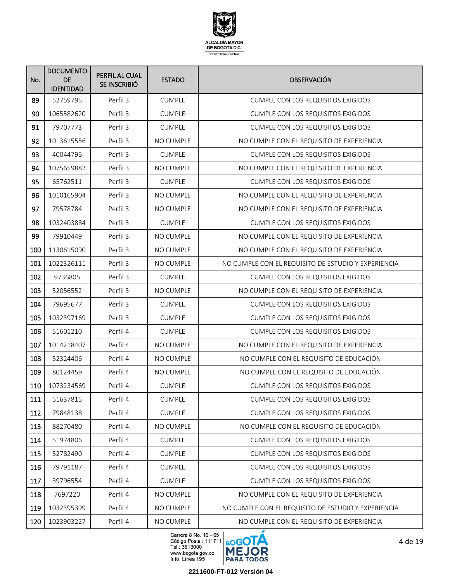

| No. | <b>DOCUMENTO</b><br><b>DE</b><br><b>IDENTIDAD</b> | PERFIL AL CUAL<br>SE INSCRIBIÓ | <b>ESTADO</b>    | <b>OBSERVACIÓN</b>                                  |
|-----|---------------------------------------------------|--------------------------------|------------------|-----------------------------------------------------|
| 89  | 52759795                                          | Perfil 3                       | <b>CUMPLE</b>    | <b>CUMPLE CON LOS REQUISITOS EXIGIDOS</b>           |
| 90  | 1065582620                                        | Perfil 3                       | <b>CUMPLE</b>    | <b>CUMPLE CON LOS REQUISITOS EXIGIDOS</b>           |
| 91  | 79707773                                          | Perfil 3                       | <b>CUMPLE</b>    | <b>CUMPLE CON LOS REQUISITOS EXIGIDOS</b>           |
| 92  | 1013615556                                        | Perfil 3                       | NO CUMPLE        | NO CUMPLE CON EL REQUISITO DE EXPERIENCIA           |
| 93  | 40044796                                          | Perfil 3                       | <b>CUMPLE</b>    | <b>CUMPLE CON LOS REQUISITOS EXIGIDOS</b>           |
| 94  | 1075659882                                        | Perfil 3                       | NO CUMPLE        | NO CUMPLE CON EL REQUISITO DE EXPERIENCIA           |
| 95  | 65762511                                          | Perfil 3                       | <b>CUMPLE</b>    | <b>CUMPLE CON LOS REQUISITOS EXIGIDOS</b>           |
| 96  | 1010165904                                        | Perfil 3                       | <b>NO CUMPLE</b> | NO CUMPLE CON EL REQUISITO DE EXPERIENCIA           |
| 97  | 79578784                                          | Perfil 3                       | <b>NO CUMPLE</b> | NO CUMPLE CON EL REQUISITO DE EXPERIENCIA           |
| 98  | 1032403884                                        | Perfil 3                       | <b>CUMPLE</b>    | <b>CUMPLE CON LOS REQUISITOS EXIGIDOS</b>           |
| 99  | 79910449                                          | Perfil 3                       | <b>NO CUMPLE</b> | NO CUMPLE CON EL REQUISITO DE EXPERIENCIA           |
| 100 | 1130615090                                        | Perfil 3                       | NO CUMPLE        | NO CUMPLE CON EL REQUISITO DE EXPERIENCIA           |
| 101 | 1022326111                                        | Perfil 3                       | <b>NO CUMPLE</b> | NO CUMPLE CON EL REQUISITO DE ESTUDIO Y EXPERIENCIA |
| 102 | 9736805                                           | Perfil 3                       | <b>CUMPLE</b>    | <b>CUMPLE CON LOS REQUISITOS EXIGIDOS</b>           |
| 103 | 52056552                                          | Perfil 3                       | NO CUMPLE        | NO CUMPLE CON EL REQUISITO DE EXPERIENCIA           |
| 104 | 79695677                                          | Perfil 3                       | <b>CUMPLE</b>    | <b>CUMPLE CON LOS REQUISITOS EXIGIDOS</b>           |
| 105 | 1032397169                                        | Perfil 3                       | <b>CUMPLE</b>    | <b>CUMPLE CON LOS REQUISITOS EXIGIDOS</b>           |
| 106 | 51601210                                          | Perfil 4                       | <b>CUMPLE</b>    | <b>CUMPLE CON LOS REQUISITOS EXIGIDOS</b>           |
| 107 | 1014218407                                        | Perfil 4                       | NO CUMPLE        | NO CUMPLE CON EL REQUISITO DE EXPERIENCIA           |
| 108 | 52324406                                          | Perfil 4                       | <b>NO CUMPLE</b> | NO CUMPLE CON EL REQUISITO DE EDUCACIÓN             |
| 109 | 80124459                                          | Perfil 4                       | NO CUMPLE        | NO CUMPLE CON EL REQUISITO DE EDUCACIÓN             |
| 110 | 1073234569                                        | Perfil 4                       | <b>CUMPLE</b>    | <b>CUMPLE CON LOS REQUISITOS EXIGIDOS</b>           |
| 111 | 51637815                                          | Perfil 4                       | <b>CUMPLE</b>    | <b>CUMPLE CON LOS REQUISITOS EXIGIDOS</b>           |
| 112 | 79848138                                          | Perfil 4                       | CUMPLE           | CUMPLE CON LOS REQUISITOS EXIGIDOS                  |
| 113 | 88270480                                          | Perfil 4                       | NO CUMPLE        | NO CUMPLE CON EL REQUISITO DE EDUCACIÓN             |
| 114 | 51974806                                          | Perfil 4                       | <b>CUMPLE</b>    | CUMPLE CON LOS REQUISITOS EXIGIDOS                  |
| 115 | 52782490                                          | Perfil 4                       | CUMPLE           | <b>CUMPLE CON LOS REQUISITOS EXIGIDOS</b>           |
| 116 | 79791187                                          | Perfil 4                       | <b>CUMPLE</b>    | <b>CUMPLE CON LOS REQUISITOS EXIGIDOS</b>           |
| 117 | 39796554                                          | Perfil 4                       | <b>CUMPLE</b>    | CUMPLE CON LOS REQUISITOS EXIGIDOS                  |
| 118 | 7697220                                           | Perfil 4                       | NO CUMPLE        | NO CUMPLE CON EL REQUISITO DE EXPERIENCIA           |
| 119 | 1032395399                                        | Perfil 4                       | NO CUMPLE        | NO CUMPLE CON EL REQUISITO DE ESTUDIO Y EXPERIENCIA |
| 120 | 1023903227                                        | Perfil 4                       | NO CUMPLE        | NO CUMPLE CON EL REQUISITO DE EXPERIENCIA           |

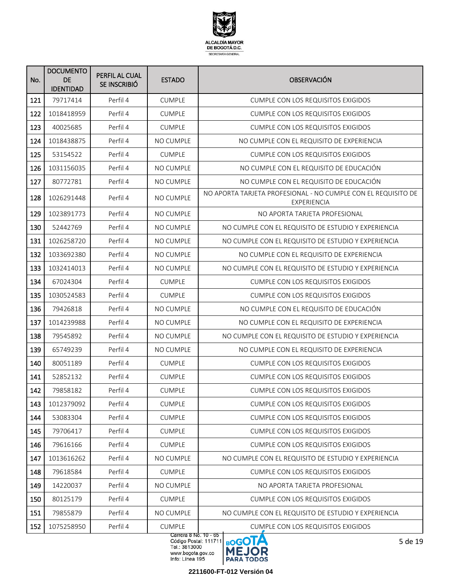

| 121<br>Perfil 4<br><b>CUMPLE</b><br>79717414<br><b>CUMPLE CON LOS REQUISITOS EXIGIDOS</b><br>122<br>1018418959<br>Perfil 4<br><b>CUMPLE</b><br><b>CUMPLE CON LOS REQUISITOS EXIGIDOS</b><br>123<br>Perfil 4<br>40025685<br><b>CUMPLE</b><br><b>CUMPLE CON LOS REQUISITOS EXIGIDOS</b><br>124<br>Perfil 4<br><b>NO CUMPLE</b><br>NO CUMPLE CON EL REQUISITO DE EXPERIENCIA<br>1018438875<br>125<br>Perfil 4<br>53154522<br><b>CUMPLE</b><br><b>CUMPLE CON LOS REQUISITOS EXIGIDOS</b><br>Perfil 4<br><b>NO CUMPLE</b><br>NO CUMPLE CON EL REQUISITO DE EDUCACIÓN<br>126<br>1031156035<br>127<br>80772781<br>Perfil 4<br><b>NO CUMPLE</b><br>NO CUMPLE CON EL REQUISITO DE EDUCACIÓN<br>NO APORTA TARJETA PROFESIONAL - NO CUMPLE CON EL REQUISITO DE<br>128<br>1026291448<br>Perfil 4<br><b>NO CUMPLE</b><br>EXPERIENCIA<br>Perfil 4<br>129<br>1023891773<br><b>NO CUMPLE</b><br>NO APORTA TARJETA PROFESIONAL<br>130<br>52442769<br>Perfil 4<br><b>NO CUMPLE</b><br>NO CUMPLE CON EL REQUISITO DE ESTUDIO Y EXPERIENCIA<br>Perfil 4<br>131<br>1026258720<br>NO CUMPLE<br>NO CUMPLE CON EL REQUISITO DE ESTUDIO Y EXPERIENCIA<br>132<br>1033692380<br>Perfil 4<br><b>NO CUMPLE</b><br>NO CUMPLE CON EL REQUISITO DE EXPERIENCIA<br>133<br>Perfil 4<br>1032414013<br><b>NO CUMPLE</b><br>NO CUMPLE CON EL REQUISITO DE ESTUDIO Y EXPERIENCIA<br>134<br>67024304<br>Perfil 4<br><b>CUMPLE</b><br><b>CUMPLE CON LOS REQUISITOS EXIGIDOS</b><br>Perfil 4<br>135<br>1030524583<br><b>CUMPLE</b><br><b>CUMPLE CON LOS REQUISITOS EXIGIDOS</b><br>136<br>Perfil 4<br>79426818<br>NO CUMPLE<br>NO CUMPLE CON EL REQUISITO DE EDUCACIÓN<br>137<br>1014239988<br>Perfil 4<br>NO CUMPLE<br>NO CUMPLE CON EL REQUISITO DE EXPERIENCIA<br>138<br>79545892<br>Perfil 4<br><b>NO CUMPLE</b><br>NO CUMPLE CON EL REQUISITO DE ESTUDIO Y EXPERIENCIA<br>Perfil 4<br>139<br>65749239<br><b>NO CUMPLE</b><br>NO CUMPLE CON EL REQUISITO DE EXPERIENCIA<br>Perfil 4<br>140<br>80051189<br><b>CUMPLE</b><br><b>CUMPLE CON LOS REQUISITOS EXIGIDOS</b><br>141<br>52852132<br>Perfil 4<br><b>CUMPLE</b><br><b>CUMPLE CON LOS REQUISITOS EXIGIDOS</b><br>142<br>79858182<br>Perfil 4<br><b>CUMPLE</b><br><b>CUMPLE CON LOS REQUISITOS EXIGIDOS</b> |  |
|---------------------------------------------------------------------------------------------------------------------------------------------------------------------------------------------------------------------------------------------------------------------------------------------------------------------------------------------------------------------------------------------------------------------------------------------------------------------------------------------------------------------------------------------------------------------------------------------------------------------------------------------------------------------------------------------------------------------------------------------------------------------------------------------------------------------------------------------------------------------------------------------------------------------------------------------------------------------------------------------------------------------------------------------------------------------------------------------------------------------------------------------------------------------------------------------------------------------------------------------------------------------------------------------------------------------------------------------------------------------------------------------------------------------------------------------------------------------------------------------------------------------------------------------------------------------------------------------------------------------------------------------------------------------------------------------------------------------------------------------------------------------------------------------------------------------------------------------------------------------------------------------------------------------------------------------------------------------------------------------------------------------------------------------------------------------------------------------------------------------------------------------------------------------------------------------------------------------------|--|
|                                                                                                                                                                                                                                                                                                                                                                                                                                                                                                                                                                                                                                                                                                                                                                                                                                                                                                                                                                                                                                                                                                                                                                                                                                                                                                                                                                                                                                                                                                                                                                                                                                                                                                                                                                                                                                                                                                                                                                                                                                                                                                                                                                                                                           |  |
|                                                                                                                                                                                                                                                                                                                                                                                                                                                                                                                                                                                                                                                                                                                                                                                                                                                                                                                                                                                                                                                                                                                                                                                                                                                                                                                                                                                                                                                                                                                                                                                                                                                                                                                                                                                                                                                                                                                                                                                                                                                                                                                                                                                                                           |  |
|                                                                                                                                                                                                                                                                                                                                                                                                                                                                                                                                                                                                                                                                                                                                                                                                                                                                                                                                                                                                                                                                                                                                                                                                                                                                                                                                                                                                                                                                                                                                                                                                                                                                                                                                                                                                                                                                                                                                                                                                                                                                                                                                                                                                                           |  |
|                                                                                                                                                                                                                                                                                                                                                                                                                                                                                                                                                                                                                                                                                                                                                                                                                                                                                                                                                                                                                                                                                                                                                                                                                                                                                                                                                                                                                                                                                                                                                                                                                                                                                                                                                                                                                                                                                                                                                                                                                                                                                                                                                                                                                           |  |
|                                                                                                                                                                                                                                                                                                                                                                                                                                                                                                                                                                                                                                                                                                                                                                                                                                                                                                                                                                                                                                                                                                                                                                                                                                                                                                                                                                                                                                                                                                                                                                                                                                                                                                                                                                                                                                                                                                                                                                                                                                                                                                                                                                                                                           |  |
|                                                                                                                                                                                                                                                                                                                                                                                                                                                                                                                                                                                                                                                                                                                                                                                                                                                                                                                                                                                                                                                                                                                                                                                                                                                                                                                                                                                                                                                                                                                                                                                                                                                                                                                                                                                                                                                                                                                                                                                                                                                                                                                                                                                                                           |  |
|                                                                                                                                                                                                                                                                                                                                                                                                                                                                                                                                                                                                                                                                                                                                                                                                                                                                                                                                                                                                                                                                                                                                                                                                                                                                                                                                                                                                                                                                                                                                                                                                                                                                                                                                                                                                                                                                                                                                                                                                                                                                                                                                                                                                                           |  |
|                                                                                                                                                                                                                                                                                                                                                                                                                                                                                                                                                                                                                                                                                                                                                                                                                                                                                                                                                                                                                                                                                                                                                                                                                                                                                                                                                                                                                                                                                                                                                                                                                                                                                                                                                                                                                                                                                                                                                                                                                                                                                                                                                                                                                           |  |
|                                                                                                                                                                                                                                                                                                                                                                                                                                                                                                                                                                                                                                                                                                                                                                                                                                                                                                                                                                                                                                                                                                                                                                                                                                                                                                                                                                                                                                                                                                                                                                                                                                                                                                                                                                                                                                                                                                                                                                                                                                                                                                                                                                                                                           |  |
|                                                                                                                                                                                                                                                                                                                                                                                                                                                                                                                                                                                                                                                                                                                                                                                                                                                                                                                                                                                                                                                                                                                                                                                                                                                                                                                                                                                                                                                                                                                                                                                                                                                                                                                                                                                                                                                                                                                                                                                                                                                                                                                                                                                                                           |  |
|                                                                                                                                                                                                                                                                                                                                                                                                                                                                                                                                                                                                                                                                                                                                                                                                                                                                                                                                                                                                                                                                                                                                                                                                                                                                                                                                                                                                                                                                                                                                                                                                                                                                                                                                                                                                                                                                                                                                                                                                                                                                                                                                                                                                                           |  |
|                                                                                                                                                                                                                                                                                                                                                                                                                                                                                                                                                                                                                                                                                                                                                                                                                                                                                                                                                                                                                                                                                                                                                                                                                                                                                                                                                                                                                                                                                                                                                                                                                                                                                                                                                                                                                                                                                                                                                                                                                                                                                                                                                                                                                           |  |
|                                                                                                                                                                                                                                                                                                                                                                                                                                                                                                                                                                                                                                                                                                                                                                                                                                                                                                                                                                                                                                                                                                                                                                                                                                                                                                                                                                                                                                                                                                                                                                                                                                                                                                                                                                                                                                                                                                                                                                                                                                                                                                                                                                                                                           |  |
|                                                                                                                                                                                                                                                                                                                                                                                                                                                                                                                                                                                                                                                                                                                                                                                                                                                                                                                                                                                                                                                                                                                                                                                                                                                                                                                                                                                                                                                                                                                                                                                                                                                                                                                                                                                                                                                                                                                                                                                                                                                                                                                                                                                                                           |  |
|                                                                                                                                                                                                                                                                                                                                                                                                                                                                                                                                                                                                                                                                                                                                                                                                                                                                                                                                                                                                                                                                                                                                                                                                                                                                                                                                                                                                                                                                                                                                                                                                                                                                                                                                                                                                                                                                                                                                                                                                                                                                                                                                                                                                                           |  |
|                                                                                                                                                                                                                                                                                                                                                                                                                                                                                                                                                                                                                                                                                                                                                                                                                                                                                                                                                                                                                                                                                                                                                                                                                                                                                                                                                                                                                                                                                                                                                                                                                                                                                                                                                                                                                                                                                                                                                                                                                                                                                                                                                                                                                           |  |
|                                                                                                                                                                                                                                                                                                                                                                                                                                                                                                                                                                                                                                                                                                                                                                                                                                                                                                                                                                                                                                                                                                                                                                                                                                                                                                                                                                                                                                                                                                                                                                                                                                                                                                                                                                                                                                                                                                                                                                                                                                                                                                                                                                                                                           |  |
|                                                                                                                                                                                                                                                                                                                                                                                                                                                                                                                                                                                                                                                                                                                                                                                                                                                                                                                                                                                                                                                                                                                                                                                                                                                                                                                                                                                                                                                                                                                                                                                                                                                                                                                                                                                                                                                                                                                                                                                                                                                                                                                                                                                                                           |  |
|                                                                                                                                                                                                                                                                                                                                                                                                                                                                                                                                                                                                                                                                                                                                                                                                                                                                                                                                                                                                                                                                                                                                                                                                                                                                                                                                                                                                                                                                                                                                                                                                                                                                                                                                                                                                                                                                                                                                                                                                                                                                                                                                                                                                                           |  |
|                                                                                                                                                                                                                                                                                                                                                                                                                                                                                                                                                                                                                                                                                                                                                                                                                                                                                                                                                                                                                                                                                                                                                                                                                                                                                                                                                                                                                                                                                                                                                                                                                                                                                                                                                                                                                                                                                                                                                                                                                                                                                                                                                                                                                           |  |
|                                                                                                                                                                                                                                                                                                                                                                                                                                                                                                                                                                                                                                                                                                                                                                                                                                                                                                                                                                                                                                                                                                                                                                                                                                                                                                                                                                                                                                                                                                                                                                                                                                                                                                                                                                                                                                                                                                                                                                                                                                                                                                                                                                                                                           |  |
|                                                                                                                                                                                                                                                                                                                                                                                                                                                                                                                                                                                                                                                                                                                                                                                                                                                                                                                                                                                                                                                                                                                                                                                                                                                                                                                                                                                                                                                                                                                                                                                                                                                                                                                                                                                                                                                                                                                                                                                                                                                                                                                                                                                                                           |  |
| 1012379092<br>Perfil 4<br><b>CUMPLE</b><br>143<br><b>CUMPLE CON LOS REQUISITOS EXIGIDOS</b>                                                                                                                                                                                                                                                                                                                                                                                                                                                                                                                                                                                                                                                                                                                                                                                                                                                                                                                                                                                                                                                                                                                                                                                                                                                                                                                                                                                                                                                                                                                                                                                                                                                                                                                                                                                                                                                                                                                                                                                                                                                                                                                               |  |
| Perfil 4<br><b>CUMPLE</b><br>144<br>53083304<br><b>CUMPLE CON LOS REQUISITOS EXIGIDOS</b>                                                                                                                                                                                                                                                                                                                                                                                                                                                                                                                                                                                                                                                                                                                                                                                                                                                                                                                                                                                                                                                                                                                                                                                                                                                                                                                                                                                                                                                                                                                                                                                                                                                                                                                                                                                                                                                                                                                                                                                                                                                                                                                                 |  |
| 145<br>Perfil 4<br><b>CUMPLE</b><br>79706417<br>CUMPLE CON LOS REQUISITOS EXIGIDOS                                                                                                                                                                                                                                                                                                                                                                                                                                                                                                                                                                                                                                                                                                                                                                                                                                                                                                                                                                                                                                                                                                                                                                                                                                                                                                                                                                                                                                                                                                                                                                                                                                                                                                                                                                                                                                                                                                                                                                                                                                                                                                                                        |  |
| Perfil 4<br>146<br>79616166<br><b>CUMPLE</b><br><b>CUMPLE CON LOS REQUISITOS EXIGIDOS</b>                                                                                                                                                                                                                                                                                                                                                                                                                                                                                                                                                                                                                                                                                                                                                                                                                                                                                                                                                                                                                                                                                                                                                                                                                                                                                                                                                                                                                                                                                                                                                                                                                                                                                                                                                                                                                                                                                                                                                                                                                                                                                                                                 |  |
| 147<br>Perfil 4<br>NO CUMPLE<br>1013616262<br>NO CUMPLE CON EL REQUISITO DE ESTUDIO Y EXPERIENCIA                                                                                                                                                                                                                                                                                                                                                                                                                                                                                                                                                                                                                                                                                                                                                                                                                                                                                                                                                                                                                                                                                                                                                                                                                                                                                                                                                                                                                                                                                                                                                                                                                                                                                                                                                                                                                                                                                                                                                                                                                                                                                                                         |  |
| 148<br>Perfil 4<br><b>CUMPLE</b><br>79618584<br><b>CUMPLE CON LOS REQUISITOS EXIGIDOS</b>                                                                                                                                                                                                                                                                                                                                                                                                                                                                                                                                                                                                                                                                                                                                                                                                                                                                                                                                                                                                                                                                                                                                                                                                                                                                                                                                                                                                                                                                                                                                                                                                                                                                                                                                                                                                                                                                                                                                                                                                                                                                                                                                 |  |
| 149<br>14220037<br>Perfil 4<br>NO CUMPLE<br>NO APORTA TARJETA PROFESIONAL                                                                                                                                                                                                                                                                                                                                                                                                                                                                                                                                                                                                                                                                                                                                                                                                                                                                                                                                                                                                                                                                                                                                                                                                                                                                                                                                                                                                                                                                                                                                                                                                                                                                                                                                                                                                                                                                                                                                                                                                                                                                                                                                                 |  |
| 80125179<br>Perfil 4<br><b>CUMPLE</b><br>150<br><b>CUMPLE CON LOS REQUISITOS EXIGIDOS</b>                                                                                                                                                                                                                                                                                                                                                                                                                                                                                                                                                                                                                                                                                                                                                                                                                                                                                                                                                                                                                                                                                                                                                                                                                                                                                                                                                                                                                                                                                                                                                                                                                                                                                                                                                                                                                                                                                                                                                                                                                                                                                                                                 |  |
| Perfil 4<br>151<br>79855879<br>NO CUMPLE<br>NO CUMPLE CON EL REQUISITO DE ESTUDIO Y EXPERIENCIA                                                                                                                                                                                                                                                                                                                                                                                                                                                                                                                                                                                                                                                                                                                                                                                                                                                                                                                                                                                                                                                                                                                                                                                                                                                                                                                                                                                                                                                                                                                                                                                                                                                                                                                                                                                                                                                                                                                                                                                                                                                                                                                           |  |
| Perfil 4<br>1075258950<br><b>CUMPLE</b><br>152<br><b>CUMPLE CON LOS REQUISITOS EXIGIDOS</b><br>Carrera 8 No. 10 - 65                                                                                                                                                                                                                                                                                                                                                                                                                                                                                                                                                                                                                                                                                                                                                                                                                                                                                                                                                                                                                                                                                                                                                                                                                                                                                                                                                                                                                                                                                                                                                                                                                                                                                                                                                                                                                                                                                                                                                                                                                                                                                                      |  |

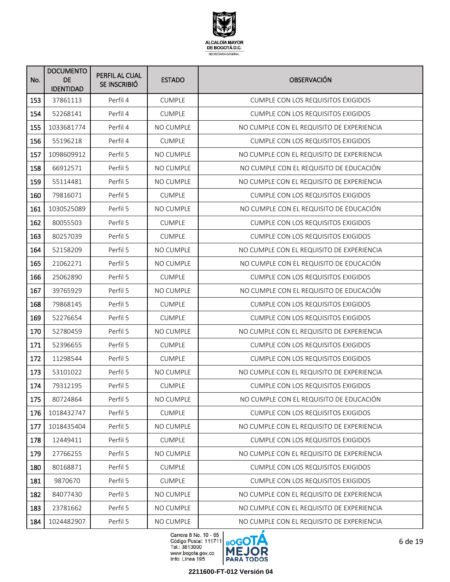

| No. | <b>DOCUMENTO</b><br><b>DE</b><br><b>IDENTIDAD</b> | PERFIL AL CUAL<br>SE INSCRIBIÓ | <b>ESTADO</b>    | <b>OBSERVACIÓN</b>                        |
|-----|---------------------------------------------------|--------------------------------|------------------|-------------------------------------------|
| 153 | 37861113                                          | Perfil 4                       | <b>CUMPLE</b>    | CUMPLE CON LOS REQUISITOS EXIGIDOS        |
| 154 | 52268141                                          | Perfil 4                       | <b>CUMPLE</b>    | <b>CUMPLE CON LOS REQUISITOS EXIGIDOS</b> |
| 155 | 1033681774                                        | Perfil 4                       | NO CUMPLE        | NO CUMPLE CON EL REQUISITO DE EXPERIENCIA |
| 156 | 55196218                                          | Perfil 4                       | <b>CUMPLE</b>    | <b>CUMPLE CON LOS REQUISITOS EXIGIDOS</b> |
| 157 | 1098609912                                        | Perfil 5                       | NO CUMPLE        | NO CUMPLE CON EL REQUISITO DE EXPERIENCIA |
| 158 | 66912571                                          | Perfil 5                       | NO CUMPLE        | NO CUMPLE CON EL REQUISITO DE EDUCACIÓN   |
| 159 | 55114481                                          | Perfil 5                       | <b>NO CUMPLE</b> | NO CUMPLE CON EL REQUISITO DE EXPERIENCIA |
| 160 | 79816071                                          | Perfil 5                       | <b>CUMPLE</b>    | <b>CUMPLE CON LOS REQUISITOS EXIGIDOS</b> |
| 161 | 1030525089                                        | Perfil 5                       | <b>NO CUMPLE</b> | NO CUMPLE CON EL REQUISITO DE EDUCACIÓN   |
| 162 | 80055503                                          | Perfil 5                       | <b>CUMPLE</b>    | <b>CUMPLE CON LOS REQUISITOS EXIGIDOS</b> |
| 163 | 80257039                                          | Perfil 5                       | <b>CUMPLE</b>    | <b>CUMPLE CON LOS REQUISITOS EXIGIDOS</b> |
| 164 | 52158209                                          | Perfil 5                       | NO CUMPLE        | NO CUMPLE CON EL REQUISITO DE EXPERIENCIA |
| 165 | 21062271                                          | Perfil 5                       | NO CUMPLE        | NO CUMPLE CON EL REQUISITO DE EDUCACIÓN   |
| 166 | 25062890                                          | Perfil 5                       | <b>CUMPLE</b>    | <b>CUMPLE CON LOS REQUISITOS EXIGIDOS</b> |
| 167 | 39765929                                          | Perfil 5                       | NO CUMPLE        | NO CUMPLE CON EL REQUISITO DE EDUCACIÓN   |
| 168 | 79868145                                          | Perfil 5                       | <b>CUMPLE</b>    | <b>CUMPLE CON LOS REQUISITOS EXIGIDOS</b> |
| 169 | 52276654                                          | Perfil 5                       | <b>CUMPLE</b>    | <b>CUMPLE CON LOS REQUISITOS EXIGIDOS</b> |
| 170 | 52780459                                          | Perfil 5                       | NO CUMPLE        | NO CUMPLE CON EL REQUISITO DE EXPERIENCIA |
| 171 | 52396655                                          | Perfil 5                       | <b>CUMPLE</b>    | <b>CUMPLE CON LOS REQUISITOS EXIGIDOS</b> |
| 172 | 11298544                                          | Perfil 5                       | <b>CUMPLE</b>    | <b>CUMPLE CON LOS REQUISITOS EXIGIDOS</b> |
| 173 | 53101022                                          | Perfil 5                       | NO CUMPLE        | NO CUMPLE CON EL REQUISITO DE EXPERIENCIA |
| 174 | 79312195                                          | Perfil 5                       | <b>CUMPLE</b>    | <b>CUMPLE CON LOS REQUISITOS EXIGIDOS</b> |
| 175 | 80724864                                          | Perfil 5                       | NO CUMPLE        | NO CUMPLE CON EL REQUISITO DE EDUCACIÓN   |
| 176 | 1018432747                                        | Perfil 5                       | CUMPLE           | CUMPLE CON LOS REQUISITOS EXIGIDOS        |
| 177 | 1018435404                                        | Perfil 5                       | NO CUMPLE        | NO CUMPLE CON EL REQUISITO DE EXPERIENCIA |
| 178 | 12449411                                          | Perfil 5                       | CUMPLE           | <b>CUMPLE CON LOS REQUISITOS EXIGIDOS</b> |
| 179 | 27766255                                          | Perfil 5                       | NO CUMPLE        | NO CUMPLE CON EL REQUISITO DE EXPERIENCIA |
| 180 | 80168871                                          | Perfil 5                       | <b>CUMPLE</b>    | <b>CUMPLE CON LOS REQUISITOS EXIGIDOS</b> |
| 181 | 9870670                                           | Perfil 5                       | <b>CUMPLE</b>    | CUMPLE CON LOS REQUISITOS EXIGIDOS        |
| 182 | 84077430                                          | Perfil 5                       | NO CUMPLE        | NO CUMPLE CON EL REQUISITO DE EXPERIENCIA |
| 183 | 23781662                                          | Perfil 5                       | NO CUMPLE        | NO CUMPLE CON EL REQUISITO DE EXPERIENCIA |
| 184 | 1024482907                                        | Perfil 5                       | NO CUMPLE        | NO CUMPLE CON EL REQUISITO DE EXPERIENCIA |

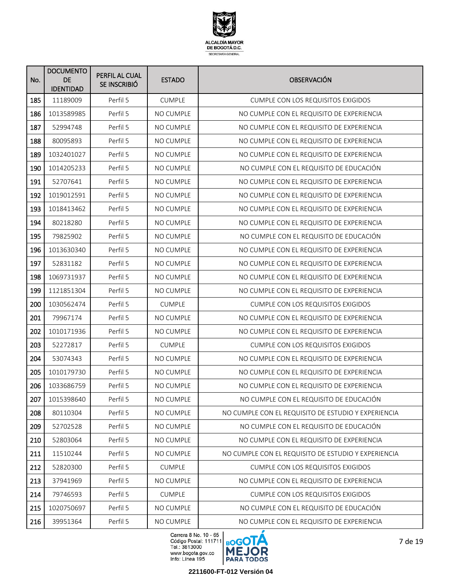

| No. | <b>DOCUMENTO</b><br>DE<br><b>IDENTIDAD</b> | PERFIL AL CUAL<br>SE INSCRIBIÓ | <b>ESTADO</b>    | <b>OBSERVACIÓN</b>                                  |
|-----|--------------------------------------------|--------------------------------|------------------|-----------------------------------------------------|
| 185 | 11189009                                   | Perfil 5                       | <b>CUMPLE</b>    | CUMPLE CON LOS REQUISITOS EXIGIDOS                  |
| 186 | 1013589985                                 | Perfil 5                       | NO CUMPLE        | NO CUMPLE CON EL REQUISITO DE EXPERIENCIA           |
| 187 | 52994748                                   | Perfil 5                       | NO CUMPLE        | NO CUMPLE CON EL REQUISITO DE EXPERIENCIA           |
| 188 | 80095893                                   | Perfil 5                       | NO CUMPLE        | NO CUMPLE CON EL REQUISITO DE EXPERIENCIA           |
| 189 | 1032401027                                 | Perfil 5                       | NO CUMPLE        | NO CUMPLE CON EL REQUISITO DE EXPERIENCIA           |
| 190 | 1014205233                                 | Perfil 5                       | NO CUMPLE        | NO CUMPLE CON EL REQUISITO DE EDUCACIÓN             |
| 191 | 52707641                                   | Perfil 5                       | <b>NO CUMPLE</b> | NO CUMPLE CON EL REQUISITO DE EXPERIENCIA           |
| 192 | 1019012591                                 | Perfil 5                       | NO CUMPLE        | NO CUMPLE CON EL REQUISITO DE EXPERIENCIA           |
| 193 | 1018413462                                 | Perfil 5                       | NO CUMPLE        | NO CUMPLE CON EL REQUISITO DE EXPERIENCIA           |
| 194 | 80218280                                   | Perfil 5                       | <b>NO CUMPLE</b> | NO CUMPLE CON EL REQUISITO DE EXPERIENCIA           |
| 195 | 79825902                                   | Perfil 5                       | NO CUMPLE        | NO CUMPLE CON EL REQUISITO DE EDUCACIÓN             |
| 196 | 1013630340                                 | Perfil 5                       | NO CUMPLE        | NO CUMPLE CON EL REQUISITO DE EXPERIENCIA           |
| 197 | 52831182                                   | Perfil 5                       | NO CUMPLE        | NO CUMPLE CON EL REQUISITO DE EXPERIENCIA           |
| 198 | 1069731937                                 | Perfil 5                       | NO CUMPLE        | NO CUMPLE CON EL REQUISITO DE EXPERIENCIA           |
| 199 | 1121851304                                 | Perfil 5                       | NO CUMPLE        | NO CUMPLE CON EL REQUISITO DE EXPERIENCIA           |
| 200 | 1030562474                                 | Perfil 5                       | <b>CUMPLE</b>    | <b>CUMPLE CON LOS REQUISITOS EXIGIDOS</b>           |
| 201 | 79967174                                   | Perfil 5                       | NO CUMPLE        | NO CUMPLE CON EL REQUISITO DE EXPERIENCIA           |
| 202 | 1010171936                                 | Perfil 5                       | NO CUMPLE        | NO CUMPLE CON EL REQUISITO DE EXPERIENCIA           |
| 203 | 52272817                                   | Perfil 5                       | <b>CUMPLE</b>    | <b>CUMPLE CON LOS REQUISITOS EXIGIDOS</b>           |
| 204 | 53074343                                   | Perfil 5                       | NO CUMPLE        | NO CUMPLE CON EL REQUISITO DE EXPERIENCIA           |
| 205 | 1010179730                                 | Perfil 5                       | NO CUMPLE        | NO CUMPLE CON EL REQUISITO DE EXPERIENCIA           |
| 206 | 1033686759                                 | Perfil 5                       | NO CUMPLE        | NO CUMPLE CON EL REQUISITO DE EXPERIENCIA           |
| 207 | 1015398640                                 | Perfil 5                       | NO CUMPLE        | NO CUMPLE CON EL REQUISITO DE EDUCACIÓN             |
| 208 | 80110304                                   | Perfil 5                       | NO CUMPLE        | NO CUMPLE CON EL REQUISITO DE ESTUDIO Y EXPERIENCIA |
| 209 | 52702528                                   | Perfil 5                       | NO CUMPLE        | NO CUMPLE CON EL REQUISITO DE EDUCACIÓN             |
| 210 | 52803064                                   | Perfil 5                       | NO CUMPLE        | NO CUMPLE CON EL REQUISITO DE EXPERIENCIA           |
| 211 | 11510244                                   | Perfil 5                       | NO CUMPLE        | NO CUMPLE CON EL REQUISITO DE ESTUDIO Y EXPERIENCIA |
| 212 | 52820300                                   | Perfil 5                       | <b>CUMPLE</b>    | <b>CUMPLE CON LOS REQUISITOS EXIGIDOS</b>           |
| 213 | 37941969                                   | Perfil 5                       | NO CUMPLE        | NO CUMPLE CON EL REQUISITO DE EXPERIENCIA           |
| 214 | 79746593                                   | Perfil 5                       | <b>CUMPLE</b>    | <b>CUMPLE CON LOS REQUISITOS EXIGIDOS</b>           |
| 215 | 1020750697                                 | Perfil 5                       | NO CUMPLE        | NO CUMPLE CON EL REQUISITO DE EDUCACIÓN             |
| 216 | 39951364                                   | Perfil 5                       | NO CUMPLE        | NO CUMPLE CON EL REQUISITO DE EXPERIENCIA           |

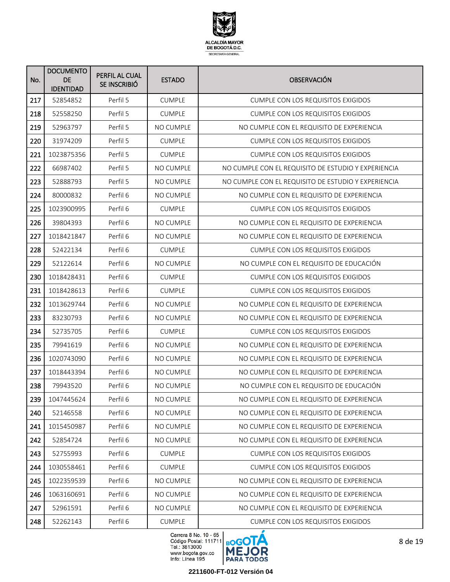

| No. | <b>DOCUMENTO</b><br><b>DE</b><br><b>IDENTIDAD</b> | PERFIL AL CUAL<br>SE INSCRIBIÓ | <b>ESTADO</b>    | <b>OBSERVACIÓN</b>                                  |
|-----|---------------------------------------------------|--------------------------------|------------------|-----------------------------------------------------|
| 217 | 52854852                                          | Perfil 5                       | <b>CUMPLE</b>    | CUMPLE CON LOS REQUISITOS EXIGIDOS                  |
| 218 | 52558250                                          | Perfil 5                       | <b>CUMPLE</b>    | <b>CUMPLE CON LOS REQUISITOS EXIGIDOS</b>           |
| 219 | 52963797                                          | Perfil 5                       | NO CUMPLE        | NO CUMPLE CON EL REQUISITO DE EXPERIENCIA           |
| 220 | 31974209                                          | Perfil 5                       | <b>CUMPLE</b>    | <b>CUMPLE CON LOS REQUISITOS EXIGIDOS</b>           |
| 221 | 1023875356                                        | Perfil 5                       | <b>CUMPLE</b>    | <b>CUMPLE CON LOS REQUISITOS EXIGIDOS</b>           |
| 222 | 66987402                                          | Perfil 5                       | NO CUMPLE        | NO CUMPLE CON EL REQUISITO DE ESTUDIO Y EXPERIENCIA |
| 223 | 52888793                                          | Perfil 5                       | <b>NO CUMPLE</b> | NO CUMPLE CON EL REQUISITO DE ESTUDIO Y EXPERIENCIA |
| 224 | 80000832                                          | Perfil 6                       | <b>NO CUMPLE</b> | NO CUMPLE CON EL REQUISITO DE EXPERIENCIA           |
| 225 | 1023900995                                        | Perfil 6                       | <b>CUMPLE</b>    | <b>CUMPLE CON LOS REQUISITOS EXIGIDOS</b>           |
| 226 | 39804393                                          | Perfil 6                       | <b>NO CUMPLE</b> | NO CUMPLE CON EL REQUISITO DE EXPERIENCIA           |
| 227 | 1018421847                                        | Perfil <sub>6</sub>            | <b>NO CUMPLE</b> | NO CUMPLE CON EL REQUISITO DE EXPERIENCIA           |
| 228 | 52422134                                          | Perfil 6                       | <b>CUMPLE</b>    | CUMPLE CON LOS REQUISITOS EXIGIDOS                  |
| 229 | 52122614                                          | Perfil <sub>6</sub>            | NO CUMPLE        | NO CUMPLE CON EL REQUISITO DE EDUCACIÓN             |
| 230 | 1018428431                                        | Perfil 6                       | <b>CUMPLE</b>    | <b>CUMPLE CON LOS REQUISITOS EXIGIDOS</b>           |
| 231 | 1018428613                                        | Perfil 6                       | <b>CUMPLE</b>    | <b>CUMPLE CON LOS REQUISITOS EXIGIDOS</b>           |
| 232 | 1013629744                                        | Perfil <sub>6</sub>            | NO CUMPLE        | NO CUMPLE CON EL REQUISITO DE EXPERIENCIA           |
| 233 | 83230793                                          | Perfil <sub>6</sub>            | NO CUMPLE        | NO CUMPLE CON EL REQUISITO DE EXPERIENCIA           |
| 234 | 52735705                                          | Perfil 6                       | <b>CUMPLE</b>    | <b>CUMPLE CON LOS REQUISITOS EXIGIDOS</b>           |
| 235 | 79941619                                          | Perfil 6                       | NO CUMPLE        | NO CUMPLE CON EL REQUISITO DE EXPERIENCIA           |
| 236 | 1020743090                                        | Perfil 6                       | NO CUMPLE        | NO CUMPLE CON EL REQUISITO DE EXPERIENCIA           |
| 237 | 1018443394                                        | Perfil 6                       | NO CUMPLE        | NO CUMPLE CON EL REQUISITO DE EXPERIENCIA           |
| 238 | 79943520                                          | Perfil <sub>6</sub>            | <b>NO CUMPLE</b> | NO CUMPLE CON EL REQUISITO DE EDUCACIÓN             |
| 239 | 1047445624                                        | Perfil 6                       | NO CUMPLE        | NO CUMPLE CON EL REQUISITO DE EXPERIENCIA           |
| 240 | 52146558                                          | Perfil 6                       | NO CUMPLE        | NO CUMPLE CON EL REQUISITO DE EXPERIENCIA           |
| 241 | 1015450987                                        | Perfil 6                       | NO CUMPLE        | NO CUMPLE CON EL REQUISITO DE EXPERIENCIA           |
| 242 | 52854724                                          | Perfil 6                       | NO CUMPLE        | NO CUMPLE CON EL REQUISITO DE EXPERIENCIA           |
| 243 | 52755993                                          | Perfil 6                       | <b>CUMPLE</b>    | CUMPLE CON LOS REQUISITOS EXIGIDOS                  |
| 244 | 1030558461                                        | Perfil 6                       | <b>CUMPLE</b>    | <b>CUMPLE CON LOS REQUISITOS EXIGIDOS</b>           |
| 245 | 1022359539                                        | Perfil 6                       | NO CUMPLE        | NO CUMPLE CON EL REQUISITO DE EXPERIENCIA           |
| 246 | 1063160691                                        | Perfil 6                       | NO CUMPLE        | NO CUMPLE CON EL REQUISITO DE EXPERIENCIA           |
| 247 | 52961591                                          | Perfil 6                       | NO CUMPLE        | NO CUMPLE CON EL REQUISITO DE EXPERIENCIA           |
| 248 | 52262143                                          | Perfil 6                       | CUMPLE           | CUMPLE CON LOS REQUISITOS EXIGIDOS                  |

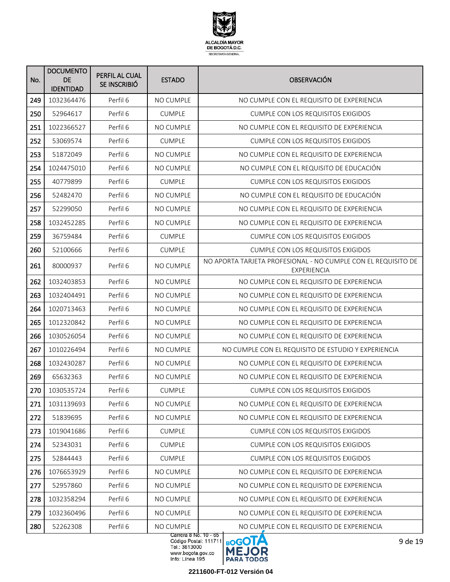

| No. | <b>DOCUMENTO</b><br>DE<br><b>IDENTIDAD</b> | PERFIL AL CUAL<br>SE INSCRIBIÓ | <b>ESTADO</b>                      | <b>OBSERVACIÓN</b>                                                           |
|-----|--------------------------------------------|--------------------------------|------------------------------------|------------------------------------------------------------------------------|
| 249 | 1032364476                                 | Perfil 6                       | <b>NO CUMPLE</b>                   | NO CUMPLE CON EL REQUISITO DE EXPERIENCIA                                    |
| 250 | 52964617                                   | Perfil <sub>6</sub>            | <b>CUMPLE</b>                      | <b>CUMPLE CON LOS REQUISITOS EXIGIDOS</b>                                    |
| 251 | 1022366527                                 | Perfil 6                       | NO CUMPLE                          | NO CUMPLE CON EL REQUISITO DE EXPERIENCIA                                    |
| 252 | 53069574                                   | Perfil <sub>6</sub>            | <b>CUMPLE</b>                      | <b>CUMPLE CON LOS REQUISITOS EXIGIDOS</b>                                    |
| 253 | 51872049                                   | Perfil <sub>6</sub>            | NO CUMPLE                          | NO CUMPLE CON EL REQUISITO DE EXPERIENCIA                                    |
| 254 | 1024475010                                 | Perfil 6                       | NO CUMPLE                          | NO CUMPLE CON EL REQUISITO DE EDUCACIÓN                                      |
| 255 | 40779899                                   | Perfil 6                       | <b>CUMPLE</b>                      | <b>CUMPLE CON LOS REQUISITOS EXIGIDOS</b>                                    |
| 256 | 52482470                                   | Perfil 6                       | NO CUMPLE                          | NO CUMPLE CON EL REQUISITO DE EDUCACIÓN                                      |
| 257 | 52299050                                   | Perfil 6                       | NO CUMPLE                          | NO CUMPLE CON EL REQUISITO DE EXPERIENCIA                                    |
| 258 | 1032452285                                 | Perfil 6                       | <b>NO CUMPLE</b>                   | NO CUMPLE CON EL REQUISITO DE EXPERIENCIA                                    |
| 259 | 36759484                                   | Perfil 6                       | <b>CUMPLE</b>                      | CUMPLE CON LOS REQUISITOS EXIGIDOS                                           |
| 260 | 52100666                                   | Perfil 6                       | <b>CUMPLE</b>                      | <b>CUMPLE CON LOS REQUISITOS EXIGIDOS</b>                                    |
| 261 | 80000937                                   | Perfil 6                       | <b>NO CUMPLE</b>                   | NO APORTA TARJETA PROFESIONAL - NO CUMPLE CON EL REQUISITO DE<br>EXPERIENCIA |
| 262 | 1032403853                                 | Perfil 6                       | NO CUMPLE                          | NO CUMPLE CON EL REQUISITO DE EXPERIENCIA                                    |
| 263 | 1032404491                                 | Perfil 6                       | NO CUMPLE                          | NO CUMPLE CON EL REQUISITO DE EXPERIENCIA                                    |
| 264 | 1020713463                                 | Perfil 6                       | NO CUMPLE                          | NO CUMPLE CON EL REQUISITO DE EXPERIENCIA                                    |
| 265 | 1012320842                                 | Perfil 6                       | NO CUMPLE                          | NO CUMPLE CON EL REQUISITO DE EXPERIENCIA                                    |
| 266 | 1030526054                                 | Perfil 6                       | NO CUMPLE                          | NO CUMPLE CON EL REQUISITO DE EXPERIENCIA                                    |
| 267 | 1010226494                                 | Perfil 6                       | <b>NO CUMPLE</b>                   | NO CUMPLE CON EL REQUISITO DE ESTUDIO Y EXPERIENCIA                          |
| 268 | 1032430287                                 | Perfil 6                       | NO CUMPLE                          | NO CUMPLE CON EL REQUISITO DE EXPERIENCIA                                    |
| 269 | 65632363                                   | Perfil 6                       | NO CUMPLE                          | NO CUMPLE CON EL REQUISITO DE EXPERIENCIA                                    |
| 270 | 1030535724                                 | Perfil 6                       | <b>CUMPLE</b>                      | <b>CUMPLE CON LOS REQUISITOS EXIGIDOS</b>                                    |
| 271 | 1031139693                                 | Perfil 6                       | NO CUMPLE                          | NO CUMPLE CON EL REQUISITO DE EXPERIENCIA                                    |
| 272 | 51839695                                   | Perfil 6                       | NO CUMPLE                          | NO CUMPLE CON EL REQUISITO DE EXPERIENCIA                                    |
| 273 | 1019041686                                 | Perfil 6                       | <b>CUMPLE</b>                      | CUMPLE CON LOS REQUISITOS EXIGIDOS                                           |
| 274 | 52343031                                   | Perfil 6                       | <b>CUMPLE</b>                      | CUMPLE CON LOS REQUISITOS EXIGIDOS                                           |
| 275 | 52844443                                   | Perfil 6                       | <b>CUMPLE</b>                      | <b>CUMPLE CON LOS REQUISITOS EXIGIDOS</b>                                    |
| 276 | 1076653929                                 | Perfil 6                       | NO CUMPLE                          | NO CUMPLE CON EL REQUISITO DE EXPERIENCIA                                    |
| 277 | 52957860                                   | Perfil 6                       | NO CUMPLE                          | NO CUMPLE CON EL REQUISITO DE EXPERIENCIA                                    |
| 278 | 1032358294                                 | Perfil 6                       | NO CUMPLE                          | NO CUMPLE CON EL REQUISITO DE EXPERIENCIA                                    |
| 279 | 1032360496                                 | Perfil 6                       | NO CUMPLE                          | NO CUMPLE CON EL REQUISITO DE EXPERIENCIA                                    |
| 280 | 52262308                                   | Perfil 6                       | NO CUMPLE<br>Carrera 8 No. 10 - 65 | NO CUMPLE CON EL REQUISITO DE EXPERIENCIA                                    |

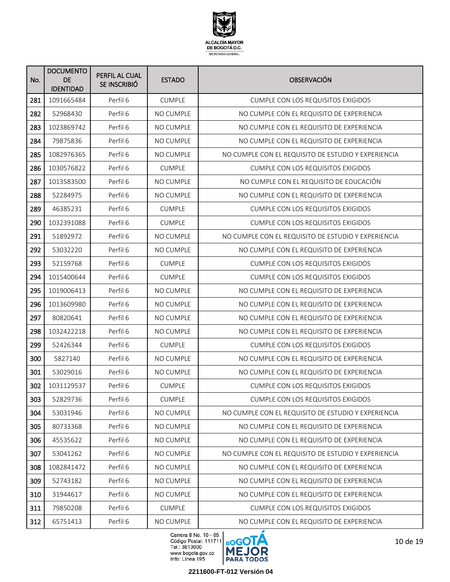

| No. | <b>DOCUMENTO</b><br><b>DE</b><br><b>IDENTIDAD</b> | PERFIL AL CUAL<br>SE INSCRIBIÓ | <b>ESTADO</b>    | <b>OBSERVACIÓN</b>                                  |
|-----|---------------------------------------------------|--------------------------------|------------------|-----------------------------------------------------|
| 281 | 1091665484                                        | Perfil 6                       | <b>CUMPLE</b>    | CUMPLE CON LOS REQUISITOS EXIGIDOS                  |
| 282 | 52968430                                          | Perfil 6                       | NO CUMPLE        | NO CUMPLE CON EL REQUISITO DE EXPERIENCIA           |
| 283 | 1023869742                                        | Perfil 6                       | NO CUMPLE        | NO CUMPLE CON EL REQUISITO DE EXPERIENCIA           |
| 284 | 79875836                                          | Perfil 6                       | NO CUMPLE        | NO CUMPLE CON EL REQUISITO DE EXPERIENCIA           |
| 285 | 1082976365                                        | Perfil 6                       | NO CUMPLE        | NO CUMPLE CON EL REQUISITO DE ESTUDIO Y EXPERIENCIA |
| 286 | 1030576822                                        | Perfil 6                       | <b>CUMPLE</b>    | <b>CUMPLE CON LOS REQUISITOS EXIGIDOS</b>           |
| 287 | 1013583500                                        | Perfil 6                       | <b>NO CUMPLE</b> | NO CUMPLE CON EL REQUISITO DE EDUCACIÓN             |
| 288 | 52284975                                          | Perfil 6                       | NO CUMPLE        | NO CUMPLE CON EL REQUISITO DE EXPERIENCIA           |
| 289 | 46385231                                          | Perfil 6                       | <b>CUMPLE</b>    | <b>CUMPLE CON LOS REQUISITOS EXIGIDOS</b>           |
| 290 | 1032391088                                        | Perfil 6                       | <b>CUMPLE</b>    | <b>CUMPLE CON LOS REQUISITOS EXIGIDOS</b>           |
| 291 | 51892972                                          | Perfil 6                       | <b>NO CUMPLE</b> | NO CUMPLE CON EL REQUISITO DE ESTUDIO Y EXPERIENCIA |
| 292 | 53032220                                          | Perfil 6                       | NO CUMPLE        | NO CUMPLE CON EL REQUISITO DE EXPERIENCIA           |
| 293 | 52159768                                          | Perfil 6                       | <b>CUMPLE</b>    | <b>CUMPLE CON LOS REQUISITOS EXIGIDOS</b>           |
| 294 | 1015400644                                        | Perfil 6                       | <b>CUMPLE</b>    | <b>CUMPLE CON LOS REQUISITOS EXIGIDOS</b>           |
| 295 | 1019006413                                        | Perfil 6                       | NO CUMPLE        | NO CUMPLE CON EL REQUISITO DE EXPERIENCIA           |
| 296 | 1013609980                                        | Perfil 6                       | NO CUMPLE        | NO CUMPLE CON EL REQUISITO DE EXPERIENCIA           |
| 297 | 80820641                                          | Perfil 6                       | NO CUMPLE        | NO CUMPLE CON EL REQUISITO DE EXPERIENCIA           |
| 298 | 1032422218                                        | Perfil 6                       | NO CUMPLE        | NO CUMPLE CON EL REQUISITO DE EXPERIENCIA           |
| 299 | 52426344                                          | Perfil 6                       | <b>CUMPLE</b>    | <b>CUMPLE CON LOS REQUISITOS EXIGIDOS</b>           |
| 300 | 5827140                                           | Perfil 6                       | NO CUMPLE        | NO CUMPLE CON EL REQUISITO DE EXPERIENCIA           |
| 301 | 53029016                                          | Perfil 6                       | NO CUMPLE        | NO CUMPLE CON EL REQUISITO DE EXPERIENCIA           |
| 302 | 1031129537                                        | Perfil 6                       | <b>CUMPLE</b>    | <b>CUMPLE CON LOS REQUISITOS EXIGIDOS</b>           |
| 303 | 52829736                                          | Perfil 6                       | <b>CUMPLE</b>    | CUMPLE CON LOS REQUISITOS EXIGIDOS                  |
| 304 | 53031946                                          | Perfil 6                       | NO CUMPLE        | NO CUMPLE CON EL REQUISITO DE ESTUDIO Y EXPERIENCIA |
| 305 | 80733368                                          | Perfil 6                       | NO CUMPLE        | NO CUMPLE CON EL REQUISITO DE EXPERIENCIA           |
| 306 | 45535622                                          | Perfil 6                       | NO CUMPLE        | NO CUMPLE CON EL REQUISITO DE EXPERIENCIA           |
| 307 | 53041262                                          | Perfil 6                       | NO CUMPLE        | NO CUMPLE CON EL REQUISITO DE ESTUDIO Y EXPERIENCIA |
| 308 | 1082841472                                        | Perfil 6                       | NO CUMPLE        | NO CUMPLE CON EL REQUISITO DE EXPERIENCIA           |
| 309 | 52743182                                          | Perfil 6                       | NO CUMPLE        | NO CUMPLE CON EL REQUISITO DE EXPERIENCIA           |
| 310 | 31944617                                          | Perfil 6                       | NO CUMPLE        | NO CUMPLE CON EL REQUISITO DE EXPERIENCIA           |
| 311 | 79850208                                          | Perfil 6                       | <b>CUMPLE</b>    | <b>CUMPLE CON LOS REQUISITOS EXIGIDOS</b>           |
| 312 | 65751413                                          | Perfil 6                       | NO CUMPLE        | NO CUMPLE CON EL REQUISITO DE EXPERIENCIA           |

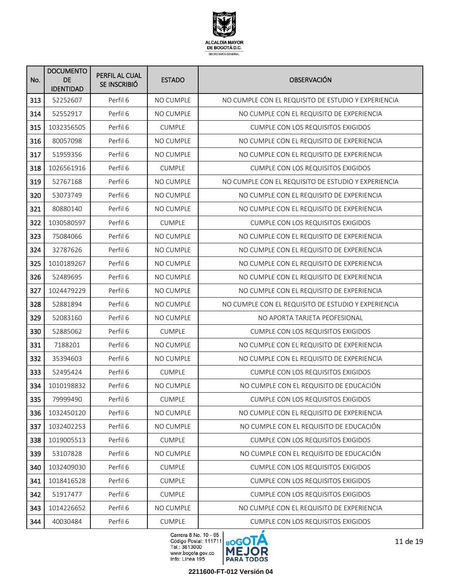

| No. | <b>DOCUMENTO</b><br>DE.<br><b>IDENTIDAD</b> | PERFIL AL CUAL<br>SE INSCRIBIÓ | <b>ESTADO</b>    | <b>OBSERVACIÓN</b>                                  |
|-----|---------------------------------------------|--------------------------------|------------------|-----------------------------------------------------|
| 313 | 52252607                                    | Perfil 6                       | <b>NO CUMPLE</b> | NO CUMPLE CON EL REQUISITO DE ESTUDIO Y EXPERIENCIA |
| 314 | 52552917                                    | Perfil 6                       | NO CUMPLE        | NO CUMPLE CON EL REQUISITO DE EXPERIENCIA           |
| 315 | 1032356505                                  | Perfil 6                       | <b>CUMPLE</b>    | <b>CUMPLE CON LOS REQUISITOS EXIGIDOS</b>           |
| 316 | 80057098                                    | Perfil 6                       | NO CUMPLE        | NO CUMPLE CON EL REQUISITO DE EXPERIENCIA           |
| 317 | 51959356                                    | Perfil 6                       | <b>NO CUMPLE</b> | NO CUMPLE CON EL REQUISITO DE EXPERIENCIA           |
| 318 | 1026561916                                  | Perfil 6                       | <b>CUMPLE</b>    | <b>CUMPLE CON LOS REQUISITOS EXIGIDOS</b>           |
| 319 | 52767168                                    | Perfil 6                       | <b>NO CUMPLE</b> | NO CUMPLE CON EL REQUISITO DE ESTUDIO Y EXPERIENCIA |
| 320 | 53073749                                    | Perfil 6                       | NO CUMPLE        | NO CUMPLE CON EL REQUISITO DE EXPERIENCIA           |
| 321 | 80880140                                    | Perfil 6                       | NO CUMPLE        | NO CUMPLE CON EL REQUISITO DE EXPERIENCIA           |
| 322 | 1030580597                                  | Perfil 6                       | <b>CUMPLE</b>    | <b>CUMPLE CON LOS REQUISITOS EXIGIDOS</b>           |
| 323 | 75084066                                    | Perfil 6                       | NO CUMPLE        | NO CUMPLE CON EL REQUISITO DE EXPERIENCIA           |
| 324 | 32787626                                    | Perfil 6                       | NO CUMPLE        | NO CUMPLE CON EL REQUISITO DE EXPERIENCIA           |
| 325 | 1010189267                                  | Perfil 6                       | NO CUMPLE        | NO CUMPLE CON EL REQUISITO DE EXPERIENCIA           |
| 326 | 52489695                                    | Perfil 6                       | NO CUMPLE        | NO CUMPLE CON EL REQUISITO DE EXPERIENCIA           |
| 327 | 1024479229                                  | Perfil 6                       | NO CUMPLE        | NO CUMPLE CON EL REQUISITO DE EXPERIENCIA           |
| 328 | 52881894                                    | Perfil 6                       | NO CUMPLE        | NO CUMPLE CON EL REQUISITO DE ESTUDIO Y EXPERIENCIA |
| 329 | 52083160                                    | Perfil <sub>6</sub>            | NO CUMPLE        | NO APORTA TARJETA PEOFESIONAL                       |
| 330 | 52885062                                    | Perfil <sub>6</sub>            | <b>CUMPLE</b>    | <b>CUMPLE CON LOS REQUISITOS EXIGIDOS</b>           |
| 331 | 7188201                                     | Perfil 6                       | NO CUMPLE        | NO CUMPLE CON EL REQUISITO DE EXPERIENCIA           |
| 332 | 35394603                                    | Perfil <sub>6</sub>            | NO CUMPLE        | NO CUMPLE CON EL REQUISITO DE EXPERIENCIA           |
| 333 | 52495424                                    | Perfil 6                       | <b>CUMPLE</b>    | <b>CUMPLE CON LOS REQUISITOS EXIGIDOS</b>           |
| 334 | 1010198832                                  | Perfil 6                       | NO CUMPLE        | NO CUMPLE CON EL REQUISITO DE EDUCACIÓN             |
| 335 | 79999490                                    | Perfil 6                       | <b>CUMPLE</b>    | <b>CUMPLE CON LOS REQUISITOS EXIGIDOS</b>           |
| 336 | 1032450120                                  | Perfil 6                       | NO CUMPLE        | NO CUMPLE CON EL REQUISITO DE EXPERIENCIA           |
| 337 | 1032402253                                  | Perfil 6                       | NO CUMPLE        | NO CUMPLE CON EL REQUISITO DE EDUCACIÓN             |
| 338 | 1019005513                                  | Perfil 6                       | <b>CUMPLE</b>    | <b>CUMPLE CON LOS REQUISITOS EXIGIDOS</b>           |
| 339 | 53107828                                    | Perfil 6                       | NO CUMPLE        | NO CUMPLE CON EL REQUISITO DE EDUCACIÓN             |
| 340 | 1032409030                                  | Perfil 6                       | <b>CUMPLE</b>    | <b>CUMPLE CON LOS REQUISITOS EXIGIDOS</b>           |
| 341 | 1018416528                                  | Perfil 6                       | <b>CUMPLE</b>    | <b>CUMPLE CON LOS REQUISITOS EXIGIDOS</b>           |
| 342 | 51917477                                    | Perfil 6                       | <b>CUMPLE</b>    | <b>CUMPLE CON LOS REQUISITOS EXIGIDOS</b>           |
| 343 | 1014226652                                  | Perfil 6                       | NO CUMPLE        | NO CUMPLE CON EL REQUISITO DE EXPERIENCIA           |
| 344 | 40030484                                    | Perfil 6                       | <b>CUMPLE</b>    | <b>CUMPLE CON LOS REQUISITOS EXIGIDOS</b>           |

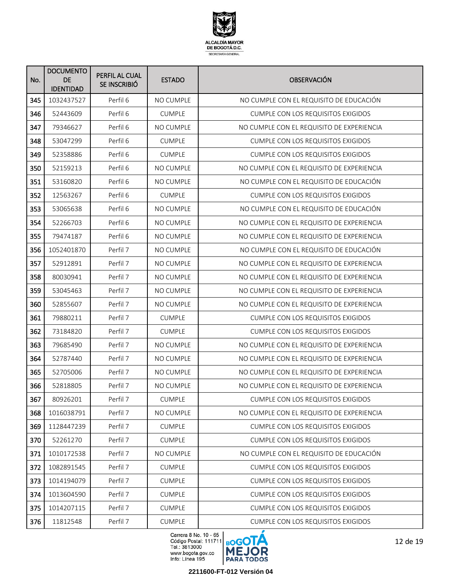

| No. | <b>DOCUMENTO</b><br><b>DE</b><br><b>IDENTIDAD</b> | PERFIL AL CUAL<br>SE INSCRIBIÓ | <b>ESTADO</b>    | <b>OBSERVACIÓN</b>                        |
|-----|---------------------------------------------------|--------------------------------|------------------|-------------------------------------------|
| 345 | 1032437527                                        | Perfil 6                       | <b>NO CUMPLE</b> | NO CUMPLE CON EL REQUISITO DE EDUCACIÓN   |
| 346 | 52443609                                          | Perfil <sub>6</sub>            | <b>CUMPLE</b>    | <b>CUMPLE CON LOS REQUISITOS EXIGIDOS</b> |
| 347 | 79346627                                          | Perfil 6                       | <b>NO CUMPLE</b> | NO CUMPLE CON EL REQUISITO DE EXPERIENCIA |
| 348 | 53047299                                          | Perfil 6                       | <b>CUMPLE</b>    | <b>CUMPLE CON LOS REQUISITOS EXIGIDOS</b> |
| 349 | 52358886                                          | Perfil <sub>6</sub>            | <b>CUMPLE</b>    | <b>CUMPLE CON LOS REQUISITOS EXIGIDOS</b> |
| 350 | 52159213                                          | Perfil <sub>6</sub>            | NO CUMPLE        | NO CUMPLE CON EL REQUISITO DE EXPERIENCIA |
| 351 | 53160820                                          | Perfil <sub>6</sub>            | <b>NO CUMPLE</b> | NO CUMPLE CON EL REQUISITO DE EDUCACIÓN   |
| 352 | 12563267                                          | Perfil 6                       | <b>CUMPLE</b>    | <b>CUMPLE CON LOS REQUISITOS EXIGIDOS</b> |
| 353 | 53065638                                          | Perfil <sub>6</sub>            | <b>NO CUMPLE</b> | NO CUMPLE CON EL REQUISITO DE EDUCACIÓN   |
| 354 | 52266703                                          | Perfil 6                       | <b>NO CUMPLE</b> | NO CUMPLE CON EL REQUISITO DE EXPERIENCIA |
| 355 | 79474187                                          | Perfil <sub>6</sub>            | <b>NO CUMPLE</b> | NO CUMPLE CON EL REQUISITO DE EXPERIENCIA |
| 356 | 1052401870                                        | Perfil 7                       | NO CUMPLE        | NO CUMPLE CON EL REQUISITO DE EDUCACIÓN   |
| 357 | 52912891                                          | Perfil 7                       | NO CUMPLE        | NO CUMPLE CON EL REQUISITO DE EXPERIENCIA |
| 358 | 80030941                                          | Perfil 7                       | NO CUMPLE        | NO CUMPLE CON EL REQUISITO DE EXPERIENCIA |
| 359 | 53045463                                          | Perfil 7                       | NO CUMPLE        | NO CUMPLE CON EL REQUISITO DE EXPERIENCIA |
| 360 | 52855607                                          | Perfil 7                       | <b>NO CUMPLE</b> | NO CUMPLE CON EL REQUISITO DE EXPERIENCIA |
| 361 | 79880211                                          | Perfil 7                       | <b>CUMPLE</b>    | <b>CUMPLE CON LOS REQUISITOS EXIGIDOS</b> |
| 362 | 73184820                                          | Perfil 7                       | <b>CUMPLE</b>    | <b>CUMPLE CON LOS REQUISITOS EXIGIDOS</b> |
| 363 | 79685490                                          | Perfil 7                       | NO CUMPLE        | NO CUMPLE CON EL REQUISITO DE EXPERIENCIA |
| 364 | 52787440                                          | Perfil 7                       | NO CUMPLE        | NO CUMPLE CON EL REQUISITO DE EXPERIENCIA |
| 365 | 52705006                                          | Perfil 7                       | NO CUMPLE        | NO CUMPLE CON EL REQUISITO DE EXPERIENCIA |
| 366 | 52818805                                          | Perfil 7                       | NO CUMPLE        | NO CUMPLE CON EL REQUISITO DE EXPERIENCIA |
| 367 | 80926201                                          | Perfil 7                       | <b>CUMPLE</b>    | CUMPLE CON LOS REQUISITOS EXIGIDOS        |
| 368 | 1016038791                                        | Perfil 7                       | NO CUMPLE        | NO CUMPLE CON EL REQUISITO DE EXPERIENCIA |
| 369 | 1128447239                                        | Perfil 7                       | <b>CUMPLE</b>    | CUMPLE CON LOS REQUISITOS EXIGIDOS        |
| 370 | 52261270                                          | Perfil 7                       | <b>CUMPLE</b>    | CUMPLE CON LOS REQUISITOS EXIGIDOS        |
| 371 | 1010172538                                        | Perfil 7                       | NO CUMPLE        | NO CUMPLE CON EL REQUISITO DE EDUCACIÓN   |
| 372 | 1082891545                                        | Perfil 7                       | <b>CUMPLE</b>    | <b>CUMPLE CON LOS REQUISITOS EXIGIDOS</b> |
| 373 | 1014194079                                        | Perfil 7                       | <b>CUMPLE</b>    | CUMPLE CON LOS REQUISITOS EXIGIDOS        |
| 374 | 1013604590                                        | Perfil 7                       | <b>CUMPLE</b>    | <b>CUMPLE CON LOS REQUISITOS EXIGIDOS</b> |
| 375 | 1014207115                                        | Perfil 7                       | <b>CUMPLE</b>    | <b>CUMPLE CON LOS REQUISITOS EXIGIDOS</b> |
| 376 | 11812548                                          | Perfil 7                       | <b>CUMPLE</b>    | <b>CUMPLE CON LOS REQUISITOS EXIGIDOS</b> |



12 de 19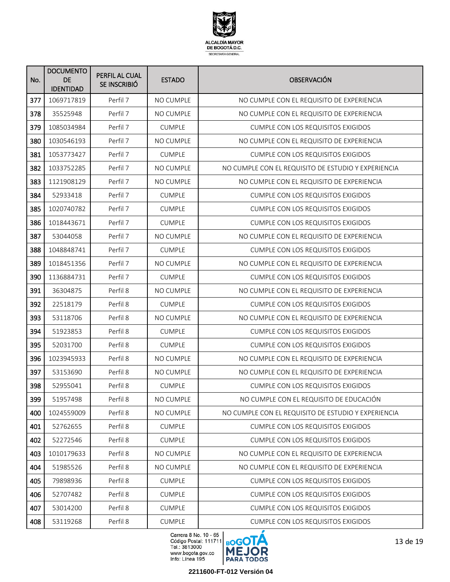

| No. | <b>DOCUMENTO</b><br><b>DE</b><br><b>IDENTIDAD</b> | PERFIL AL CUAL<br>SE INSCRIBIÓ | <b>ESTADO</b>    | <b>OBSERVACIÓN</b>                                  |
|-----|---------------------------------------------------|--------------------------------|------------------|-----------------------------------------------------|
| 377 | 1069717819                                        | Perfil 7                       | <b>NO CUMPLE</b> | NO CUMPLE CON EL REQUISITO DE EXPERIENCIA           |
| 378 | 35525948                                          | Perfil 7                       | <b>NO CUMPLE</b> | NO CUMPLE CON EL REQUISITO DE EXPERIENCIA           |
| 379 | 1085034984                                        | Perfil 7                       | <b>CUMPLE</b>    | <b>CUMPLE CON LOS REQUISITOS EXIGIDOS</b>           |
| 380 | 1030546193                                        | Perfil 7                       | NO CUMPLE        | NO CUMPLE CON EL REQUISITO DE EXPERIENCIA           |
| 381 | 1053773427                                        | Perfil 7                       | <b>CUMPLE</b>    | <b>CUMPLE CON LOS REQUISITOS EXIGIDOS</b>           |
| 382 | 1033752285                                        | Perfil 7                       | NO CUMPLE        | NO CUMPLE CON EL REQUISITO DE ESTUDIO Y EXPERIENCIA |
| 383 | 1121908129                                        | Perfil 7                       | NO CUMPLE        | NO CUMPLE CON EL REQUISITO DE EXPERIENCIA           |
| 384 | 52933418                                          | Perfil 7                       | <b>CUMPLE</b>    | <b>CUMPLE CON LOS REQUISITOS EXIGIDOS</b>           |
| 385 | 1020740782                                        | Perfil 7                       | <b>CUMPLE</b>    | <b>CUMPLE CON LOS REQUISITOS EXIGIDOS</b>           |
| 386 | 1018443671                                        | Perfil 7                       | <b>CUMPLE</b>    | <b>CUMPLE CON LOS REQUISITOS EXIGIDOS</b>           |
| 387 | 53044058                                          | Perfil 7                       | <b>NO CUMPLE</b> | NO CUMPLE CON EL REQUISITO DE EXPERIENCIA           |
| 388 | 1048848741                                        | Perfil 7                       | <b>CUMPLE</b>    | <b>CUMPLE CON LOS REQUISITOS EXIGIDOS</b>           |
| 389 | 1018451356                                        | Perfil 7                       | NO CUMPLE        | NO CUMPLE CON EL REQUISITO DE EXPERIENCIA           |
| 390 | 1136884731                                        | Perfil 7                       | <b>CUMPLE</b>    | <b>CUMPLE CON LOS REQUISITOS EXIGIDOS</b>           |
| 391 | 36304875                                          | Perfil 8                       | NO CUMPLE        | NO CUMPLE CON EL REQUISITO DE EXPERIENCIA           |
| 392 | 22518179                                          | Perfil 8                       | <b>CUMPLE</b>    | <b>CUMPLE CON LOS REQUISITOS EXIGIDOS</b>           |
| 393 | 53118706                                          | Perfil 8                       | NO CUMPLE        | NO CUMPLE CON EL REQUISITO DE EXPERIENCIA           |
| 394 | 51923853                                          | Perfil 8                       | <b>CUMPLE</b>    | <b>CUMPLE CON LOS REQUISITOS EXIGIDOS</b>           |
| 395 | 52031700                                          | Perfil 8                       | <b>CUMPLE</b>    | <b>CUMPLE CON LOS REQUISITOS EXIGIDOS</b>           |
| 396 | 1023945933                                        | Perfil 8                       | <b>NO CUMPLE</b> | NO CUMPLE CON EL REQUISITO DE EXPERIENCIA           |
| 397 | 53153690                                          | Perfil 8                       | <b>NO CUMPLE</b> | NO CUMPLE CON EL REQUISITO DE EXPERIENCIA           |
| 398 | 52955041                                          | Perfil 8                       | <b>CUMPLE</b>    | <b>CUMPLE CON LOS REQUISITOS EXIGIDOS</b>           |
| 399 | 51957498                                          | Perfil 8                       | NO CUMPLE        | NO CUMPLE CON EL REQUISITO DE EDUCACIÓN             |
| 400 | 1024559009                                        | Perfil 8                       | NO CUMPLE        | NO CUMPLE CON EL REQUISITO DE ESTUDIO Y EXPERIENCIA |
| 401 | 52762655                                          | Perfil 8                       | <b>CUMPLE</b>    | <b>CUMPLE CON LOS REQUISITOS EXIGIDOS</b>           |
| 402 | 52272546                                          | Perfil 8                       | <b>CUMPLE</b>    | <b>CUMPLE CON LOS REQUISITOS EXIGIDOS</b>           |
| 403 | 1010179633                                        | Perfil 8                       | NO CUMPLE        | NO CUMPLE CON EL REQUISITO DE EXPERIENCIA           |
| 404 | 51985526                                          | Perfil 8                       | NO CUMPLE        | NO CUMPLE CON EL REQUISITO DE EXPERIENCIA           |
| 405 | 79898936                                          | Perfil 8                       | <b>CUMPLE</b>    | CUMPLE CON LOS REQUISITOS EXIGIDOS                  |
| 406 | 52707482                                          | Perfil 8                       | <b>CUMPLE</b>    | <b>CUMPLE CON LOS REQUISITOS EXIGIDOS</b>           |
| 407 | 53014200                                          | Perfil 8                       | <b>CUMPLE</b>    | <b>CUMPLE CON LOS REQUISITOS EXIGIDOS</b>           |
| 408 | 53119268                                          | Perfil 8                       | <b>CUMPLE</b>    | <b>CUMPLE CON LOS REQUISITOS EXIGIDOS</b>           |

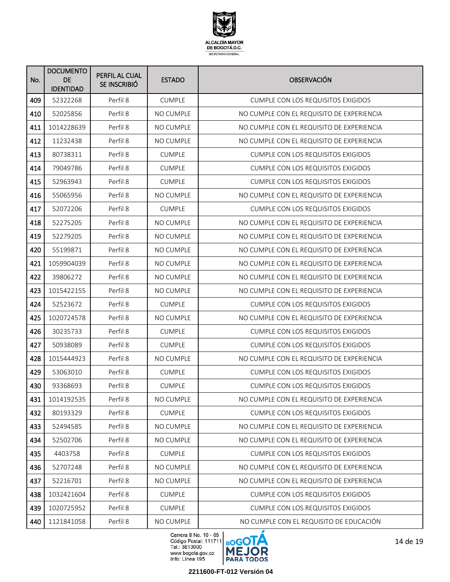

| No. | <b>DOCUMENTO</b><br><b>DE</b><br><b>IDENTIDAD</b> | PERFIL AL CUAL<br>SE INSCRIBIÓ | <b>ESTADO</b>    | <b>OBSERVACIÓN</b>                        |
|-----|---------------------------------------------------|--------------------------------|------------------|-------------------------------------------|
| 409 | 52322268                                          | Perfil 8                       | <b>CUMPLE</b>    | <b>CUMPLE CON LOS REQUISITOS EXIGIDOS</b> |
| 410 | 52025856                                          | Perfil 8                       | <b>NO CUMPLE</b> | NO CUMPLE CON EL REQUISITO DE EXPERIENCIA |
| 411 | 1014228639                                        | Perfil 8                       | <b>NO CUMPLE</b> | NO CUMPLE CON EL REQUISITO DE EXPERIENCIA |
| 412 | 11232438                                          | Perfil 8                       | NO CUMPLE        | NO CUMPLE CON EL REQUISITO DE EXPERIENCIA |
| 413 | 80738311                                          | Perfil 8                       | <b>CUMPLE</b>    | <b>CUMPLE CON LOS REQUISITOS EXIGIDOS</b> |
| 414 | 79049786                                          | Perfil 8                       | <b>CUMPLE</b>    | <b>CUMPLE CON LOS REQUISITOS EXIGIDOS</b> |
| 415 | 52963943                                          | Perfil 8                       | <b>CUMPLE</b>    | <b>CUMPLE CON LOS REQUISITOS EXIGIDOS</b> |
| 416 | 55065956                                          | Perfil 8                       | NO CUMPLE        | NO CUMPLE CON EL REQUISITO DE EXPERIENCIA |
| 417 | 52072206                                          | Perfil 8                       | <b>CUMPLE</b>    | <b>CUMPLE CON LOS REQUISITOS EXIGIDOS</b> |
| 418 | 52275205                                          | Perfil 8                       | <b>NO CUMPLE</b> | NO CUMPLE CON EL REQUISITO DE EXPERIENCIA |
| 419 | 52279205                                          | Perfil 8                       | <b>NO CUMPLE</b> | NO CUMPLE CON EL REQUISITO DE EXPERIENCIA |
| 420 | 55199871                                          | Perfil 8                       | NO CUMPLE        | NO CUMPLE CON EL REQUISITO DE EXPERIENCIA |
| 421 | 1059904039                                        | Perfil 8                       | <b>NO CUMPLE</b> | NO CUMPLE CON EL REQUISITO DE EXPERIENCIA |
| 422 | 39806272                                          | Perfil 8                       | NO CUMPLE        | NO CUMPLE CON EL REQUISITO DE EXPERIENCIA |
| 423 | 1015422155                                        | Perfil 8                       | NO CUMPLE        | NO CUMPLE CON EL REQUISITO DE EXPERIENCIA |
| 424 | 52523672                                          | Perfil 8                       | <b>CUMPLE</b>    | <b>CUMPLE CON LOS REQUISITOS EXIGIDOS</b> |
| 425 | 1020724578                                        | Perfil 8                       | NO CUMPLE        | NO CUMPLE CON EL REQUISITO DE EXPERIENCIA |
| 426 | 30235733                                          | Perfil 8                       | <b>CUMPLE</b>    | <b>CUMPLE CON LOS REQUISITOS EXIGIDOS</b> |
| 427 | 50938089                                          | Perfil 8                       | <b>CUMPLE</b>    | <b>CUMPLE CON LOS REQUISITOS EXIGIDOS</b> |
| 428 | 1015444923                                        | Perfil 8                       | NO CUMPLE        | NO CUMPLE CON EL REQUISITO DE EXPERIENCIA |
| 429 | 53063010                                          | Perfil 8                       | <b>CUMPLE</b>    | <b>CUMPLE CON LOS REQUISITOS EXIGIDOS</b> |
| 430 | 93368693                                          | Perfil 8                       | <b>CUMPLE</b>    | <b>CUMPLE CON LOS REQUISITOS EXIGIDOS</b> |
| 431 | 1014192535                                        | Perfil 8                       | NO CUMPLE        | NO CUMPLE CON EL REQUISITO DE EXPERIENCIA |
| 432 | 80193329                                          | Perfil 8                       | <b>CUMPLE</b>    | CUMPLE CON LOS REQUISITOS EXIGIDOS        |
| 433 | 52494585                                          | Perfil 8                       | NO CUMPLE        | NO CUMPLE CON EL REQUISITO DE EXPERIENCIA |
| 434 | 52502706                                          | Perfil 8                       | NO CUMPLE        | NO CUMPLE CON EL REQUISITO DE EXPERIENCIA |
| 435 | 4403758                                           | Perfil 8                       | <b>CUMPLE</b>    | <b>CUMPLE CON LOS REQUISITOS EXIGIDOS</b> |
| 436 | 52707248                                          | Perfil 8                       | NO CUMPLE        | NO CUMPLE CON EL REQUISITO DE EXPERIENCIA |
| 437 | 52216701                                          | Perfil 8                       | NO CUMPLE        | NO CUMPLE CON EL REQUISITO DE EXPERIENCIA |
| 438 | 1032421604                                        | Perfil 8                       | <b>CUMPLE</b>    | <b>CUMPLE CON LOS REQUISITOS EXIGIDOS</b> |
| 439 | 1020725952                                        | Perfil 8                       | <b>CUMPLE</b>    | <b>CUMPLE CON LOS REQUISITOS EXIGIDOS</b> |
| 440 | 1121841058                                        | Perfil 8                       | NO CUMPLE        | NO CUMPLE CON EL REQUISITO DE EDUCACIÓN   |

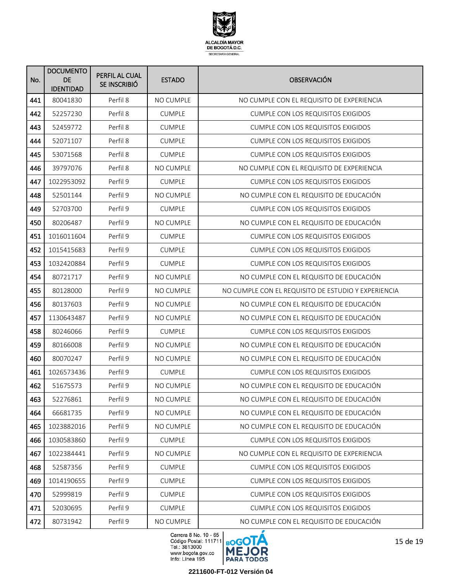

| No. | <b>DOCUMENTO</b><br><b>DE</b><br><b>IDENTIDAD</b> | PERFIL AL CUAL<br>SE INSCRIBIÓ | <b>ESTADO</b>    | <b>OBSERVACIÓN</b>                                  |
|-----|---------------------------------------------------|--------------------------------|------------------|-----------------------------------------------------|
| 441 | 80041830                                          | Perfil 8                       | <b>NO CUMPLE</b> | NO CUMPLE CON EL REQUISITO DE EXPERIENCIA           |
| 442 | 52257230                                          | Perfil 8                       | <b>CUMPLE</b>    | <b>CUMPLE CON LOS REQUISITOS EXIGIDOS</b>           |
| 443 | 52459772                                          | Perfil 8                       | <b>CUMPLE</b>    | <b>CUMPLE CON LOS REQUISITOS EXIGIDOS</b>           |
| 444 | 52071107                                          | Perfil 8                       | <b>CUMPLE</b>    | <b>CUMPLE CON LOS REQUISITOS EXIGIDOS</b>           |
| 445 | 53071568                                          | Perfil 8                       | <b>CUMPLE</b>    | <b>CUMPLE CON LOS REQUISITOS EXIGIDOS</b>           |
| 446 | 39797076                                          | Perfil 8                       | NO CUMPLE        | NO CUMPLE CON EL REQUISITO DE EXPERIENCIA           |
| 447 | 1022953092                                        | Perfil 9                       | <b>CUMPLE</b>    | <b>CUMPLE CON LOS REQUISITOS EXIGIDOS</b>           |
| 448 | 52501144                                          | Perfil 9                       | <b>NO CUMPLE</b> | NO CUMPLE CON EL REQUISITO DE EDUCACIÓN             |
| 449 | 52703700                                          | Perfil 9                       | <b>CUMPLE</b>    | <b>CUMPLE CON LOS REQUISITOS EXIGIDOS</b>           |
| 450 | 80206487                                          | Perfil 9                       | <b>NO CUMPLE</b> | NO CUMPLE CON EL REQUISITO DE EDUCACIÓN             |
| 451 | 1016011604                                        | Perfil 9                       | <b>CUMPLE</b>    | <b>CUMPLE CON LOS REQUISITOS EXIGIDOS</b>           |
| 452 | 1015415683                                        | Perfil 9                       | <b>CUMPLE</b>    | <b>CUMPLE CON LOS REQUISITOS EXIGIDOS</b>           |
| 453 | 1032420884                                        | Perfil 9                       | <b>CUMPLE</b>    | <b>CUMPLE CON LOS REQUISITOS EXIGIDOS</b>           |
| 454 | 80721717                                          | Perfil 9                       | <b>NO CUMPLE</b> | NO CUMPLE CON EL REQUISITO DE EDUCACIÓN             |
| 455 | 80128000                                          | Perfil 9                       | <b>NO CUMPLE</b> | NO CUMPLE CON EL REQUISITO DE ESTUDIO Y EXPERIENCIA |
| 456 | 80137603                                          | Perfil 9                       | <b>NO CUMPLE</b> | NO CUMPLE CON EL REQUISITO DE EDUCACIÓN             |
| 457 | 1130643487                                        | Perfil 9                       | NO CUMPLE        | NO CUMPLE CON EL REQUISITO DE EDUCACIÓN             |
| 458 | 80246066                                          | Perfil 9                       | <b>CUMPLE</b>    | <b>CUMPLE CON LOS REQUISITOS EXIGIDOS</b>           |
| 459 | 80166008                                          | Perfil 9                       | <b>NO CUMPLE</b> | NO CUMPLE CON EL REQUISITO DE EDUCACIÓN             |
| 460 | 80070247                                          | Perfil 9                       | NO CUMPLE        | NO CUMPLE CON EL REQUISITO DE EDUCACIÓN             |
| 461 | 1026573436                                        | Perfil 9                       | <b>CUMPLE</b>    | <b>CUMPLE CON LOS REQUISITOS EXIGIDOS</b>           |
| 462 | 51675573                                          | Perfil 9                       | NO CUMPLE        | NO CUMPLE CON EL REQUISITO DE EDUCACIÓN             |
| 463 | 52276861                                          | Perfil 9                       | NO CUMPLE        | NO CUMPLE CON EL REQUISITO DE EDUCACIÓN             |
| 464 | 66681735                                          | Perfil 9                       | NO CUMPLE        | NO CUMPLE CON EL REQUISITO DE EDUCACIÓN             |
| 465 | 1023882016                                        | Perfil 9                       | NO CUMPLE        | NO CUMPLE CON EL REQUISITO DE EDUCACIÓN             |
| 466 | 1030583860                                        | Perfil 9                       | <b>CUMPLE</b>    | <b>CUMPLE CON LOS REQUISITOS EXIGIDOS</b>           |
| 467 | 1022384441                                        | Perfil 9                       | NO CUMPLE        | NO CUMPLE CON EL REQUISITO DE EXPERIENCIA           |
| 468 | 52587356                                          | Perfil 9                       | <b>CUMPLE</b>    | <b>CUMPLE CON LOS REQUISITOS EXIGIDOS</b>           |
| 469 | 1014190655                                        | Perfil 9                       | <b>CUMPLE</b>    | CUMPLE CON LOS REQUISITOS EXIGIDOS                  |
| 470 | 52999819                                          | Perfil 9                       | <b>CUMPLE</b>    | <b>CUMPLE CON LOS REQUISITOS EXIGIDOS</b>           |
| 471 | 52030695                                          | Perfil 9                       | <b>CUMPLE</b>    | <b>CUMPLE CON LOS REQUISITOS EXIGIDOS</b>           |
| 472 | 80731942                                          | Perfil 9                       | NO CUMPLE        | NO CUMPLE CON EL REQUISITO DE EDUCACIÓN             |

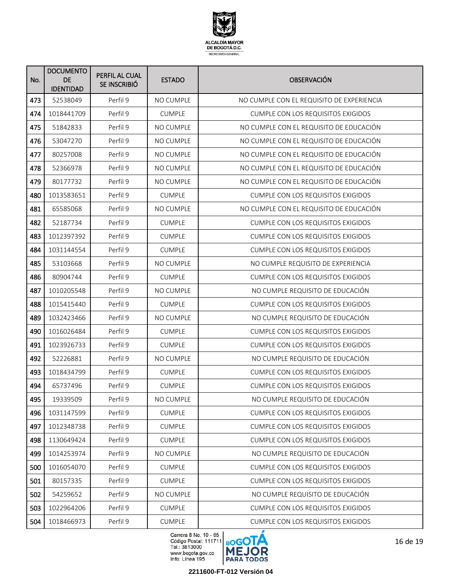

| No. | <b>DOCUMENTO</b><br><b>DE</b><br><b>IDENTIDAD</b> | PERFIL AL CUAL<br>SE INSCRIBIÓ | <b>ESTADO</b>    | <b>OBSERVACIÓN</b>                        |
|-----|---------------------------------------------------|--------------------------------|------------------|-------------------------------------------|
| 473 | 52538049                                          | Perfil 9                       | NO CUMPLE        | NO CUMPLE CON EL REQUISITO DE EXPERIENCIA |
| 474 | 1018441709                                        | Perfil 9                       | <b>CUMPLE</b>    | <b>CUMPLE CON LOS REQUISITOS EXIGIDOS</b> |
| 475 | 51842833                                          | Perfil 9                       | NO CUMPLE        | NO CUMPLE CON EL REQUISITO DE EDUCACIÓN   |
| 476 | 53047270                                          | Perfil 9                       | NO CUMPLE        | NO CUMPLE CON EL REQUISITO DE EDUCACIÓN   |
| 477 | 80257008                                          | Perfil 9                       | NO CUMPLE        | NO CUMPLE CON EL REQUISITO DE EDUCACIÓN   |
| 478 | 52366978                                          | Perfil 9                       | NO CUMPLE        | NO CUMPLE CON EL REQUISITO DE EDUCACIÓN   |
| 479 | 80177732                                          | Perfil 9                       | <b>NO CUMPLE</b> | NO CUMPLE CON EL REQUISITO DE EDUCACIÓN   |
| 480 | 1013583651                                        | Perfil 9                       | <b>CUMPLE</b>    | <b>CUMPLE CON LOS REQUISITOS EXIGIDOS</b> |
| 481 | 65585068                                          | Perfil 9                       | <b>NO CUMPLE</b> | NO CUMPLE CON EL REQUISITO DE EDUCACIÓN   |
| 482 | 52187734                                          | Perfil 9                       | <b>CUMPLE</b>    | <b>CUMPLE CON LOS REQUISITOS EXIGIDOS</b> |
| 483 | 1012397392                                        | Perfil 9                       | <b>CUMPLE</b>    | <b>CUMPLE CON LOS REQUISITOS EXIGIDOS</b> |
| 484 | 1031144554                                        | Perfil 9                       | <b>CUMPLE</b>    | <b>CUMPLE CON LOS REQUISITOS EXIGIDOS</b> |
| 485 | 53103668                                          | Perfil 9                       | NO CUMPLE        | NO CUMPLE REQUISITO DE EXPERIENCIA        |
| 486 | 80904744                                          | Perfil 9                       | <b>CUMPLE</b>    | <b>CUMPLE CON LOS REQUISITOS EXIGIDOS</b> |
| 487 | 1010205548                                        | Perfil 9                       | NO CUMPLE        | NO CUMPLE REQUISITO DE EDUCACIÓN          |
| 488 | 1015415440                                        | Perfil 9                       | <b>CUMPLE</b>    | <b>CUMPLE CON LOS REQUISITOS EXIGIDOS</b> |
| 489 | 1032423466                                        | Perfil 9                       | NO CUMPLE        | NO CUMPLE REQUISITO DE EDUCACIÓN          |
| 490 | 1016026484                                        | Perfil 9                       | <b>CUMPLE</b>    | <b>CUMPLE CON LOS REQUISITOS EXIGIDOS</b> |
| 491 | 1023926733                                        | Perfil 9                       | <b>CUMPLE</b>    | <b>CUMPLE CON LOS REQUISITOS EXIGIDOS</b> |
| 492 | 52226881                                          | Perfil 9                       | NO CUMPLE        | NO CUMPLE REQUISITO DE EDUCACIÓN          |
| 493 | 1018434799                                        | Perfil 9                       | <b>CUMPLE</b>    | <b>CUMPLE CON LOS REQUISITOS EXIGIDOS</b> |
| 494 | 65737496                                          | Perfil 9                       | <b>CUMPLE</b>    | <b>CUMPLE CON LOS REQUISITOS EXIGIDOS</b> |
| 495 | 19339509                                          | Perfil 9                       | NO CUMPLE        | NO CUMPLE REQUISITO DE EDUCACIÓN          |
| 496 | 1031147599                                        | Perfil 9                       | <b>CUMPLE</b>    | CUMPLE CON LOS REQUISITOS EXIGIDOS        |
| 497 | 1012348738                                        | Perfil 9                       | <b>CUMPLE</b>    | CUMPLE CON LOS REQUISITOS EXIGIDOS        |
| 498 | 1130649424                                        | Perfil 9                       | <b>CUMPLE</b>    | CUMPLE CON LOS REQUISITOS EXIGIDOS        |
| 499 | 1014253974                                        | Perfil 9                       | NO CUMPLE        | NO CUMPLE REQUISITO DE EDUCACIÓN          |
| 500 | 1016054070                                        | Perfil 9                       | <b>CUMPLE</b>    | <b>CUMPLE CON LOS REQUISITOS EXIGIDOS</b> |
| 501 | 80157335                                          | Perfil 9                       | <b>CUMPLE</b>    | CUMPLE CON LOS REQUISITOS EXIGIDOS        |
| 502 | 54259652                                          | Perfil 9                       | NO CUMPLE        | NO CUMPLE REQUISITO DE EDUCACIÓN          |
| 503 | 1022964206                                        | Perfil 9                       | <b>CUMPLE</b>    | <b>CUMPLE CON LOS REQUISITOS EXIGIDOS</b> |
| 504 | 1018466973                                        | Perfil 9                       | <b>CUMPLE</b>    | <b>CUMPLE CON LOS REQUISITOS EXIGIDOS</b> |

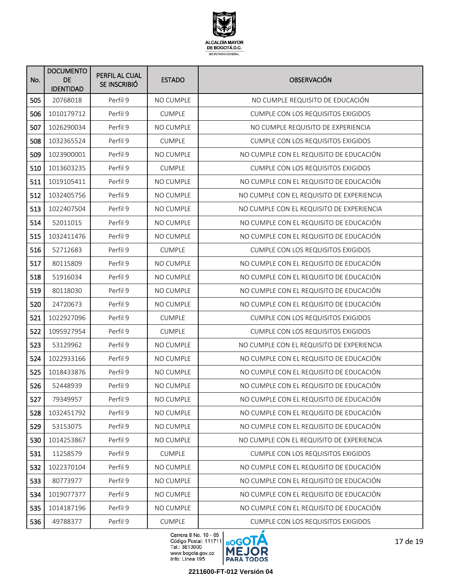

| No. | <b>DOCUMENTO</b><br>DE<br><b>IDENTIDAD</b> | PERFIL AL CUAL<br>SE INSCRIBIÓ | <b>ESTADO</b>    | <b>OBSERVACIÓN</b>                        |
|-----|--------------------------------------------|--------------------------------|------------------|-------------------------------------------|
| 505 | 20768018                                   | Perfil 9                       | NO CUMPLE        | NO CUMPLE REQUISITO DE EDUCACIÓN          |
| 506 | 1010179712                                 | Perfil 9                       | <b>CUMPLE</b>    | <b>CUMPLE CON LOS REQUISITOS EXIGIDOS</b> |
| 507 | 1026290034                                 | Perfil 9                       | NO CUMPLE        | NO CUMPLE REQUISITO DE EXPERIENCIA        |
| 508 | 1032365524                                 | Perfil 9                       | <b>CUMPLE</b>    | <b>CUMPLE CON LOS REQUISITOS EXIGIDOS</b> |
| 509 | 1023900001                                 | Perfil 9                       | NO CUMPLE        | NO CUMPLE CON EL REQUISITO DE EDUCACIÓN   |
| 510 | 1013603235                                 | Perfil 9                       | <b>CUMPLE</b>    | <b>CUMPLE CON LOS REQUISITOS EXIGIDOS</b> |
| 511 | 1019105411                                 | Perfil 9                       | NO CUMPLE        | NO CUMPLE CON EL REQUISITO DE EDUCACIÓN   |
| 512 | 1032405756                                 | Perfil 9                       | NO CUMPLE        | NO CUMPLE CON EL REQUISITO DE EXPERIENCIA |
| 513 | 1022407504                                 | Perfil 9                       | <b>NO CUMPLE</b> | NO CUMPLE CON EL REQUISITO DE EXPERIENCIA |
| 514 | 52011015                                   | Perfil 9                       | <b>NO CUMPLE</b> | NO CUMPLE CON EL REQUISITO DE EDUCACIÓN   |
| 515 | 1032411476                                 | Perfil 9                       | NO CUMPLE        | NO CUMPLE CON EL REQUISITO DE EDUCACIÓN   |
| 516 | 52712683                                   | Perfil 9                       | <b>CUMPLE</b>    | <b>CUMPLE CON LOS REQUISITOS EXIGIDOS</b> |
| 517 | 80115809                                   | Perfil 9                       | NO CUMPLE        | NO CUMPLE CON EL REQUISITO DE EDUCACIÓN   |
| 518 | 51916034                                   | Perfil 9                       | <b>NO CUMPLE</b> | NO CUMPLE CON EL REQUISITO DE EDUCACIÓN   |
| 519 | 80118030                                   | Perfil 9                       | <b>NO CUMPLE</b> | NO CUMPLE CON EL REQUISITO DE EDUCACIÓN   |
| 520 | 24720673                                   | Perfil 9                       | NO CUMPLE        | NO CUMPLE CON EL REQUISITO DE EDUCACIÓN   |
| 521 | 1022927096                                 | Perfil 9                       | <b>CUMPLE</b>    | <b>CUMPLE CON LOS REQUISITOS EXIGIDOS</b> |
| 522 | 1095927954                                 | Perfil 9                       | <b>CUMPLE</b>    | <b>CUMPLE CON LOS REQUISITOS EXIGIDOS</b> |
| 523 | 53129962                                   | Perfil 9                       | NO CUMPLE        | NO CUMPLE CON EL REQUISITO DE EXPERIENCIA |
| 524 | 1022933166                                 | Perfil 9                       | NO CUMPLE        | NO CUMPLE CON EL REQUISITO DE EDUCACIÓN   |
| 525 | 1018433876                                 | Perfil 9                       | NO CUMPLE        | NO CUMPLE CON EL REQUISITO DE EDUCACIÓN   |
| 526 | 52448939                                   | Perfil 9                       | NO CUMPLE        | NO CUMPLE CON EL REQUISITO DE EDUCACIÓN   |
| 527 | 79349957                                   | Perfil 9                       | NO CUMPLE        | NO CUMPLE CON EL REQUISITO DE EDUCACIÓN   |
| 528 | 1032451792                                 | Perfil 9                       | NO CUMPLE        | NO CUMPLE CON EL REQUISITO DE EDUCACIÓN   |
| 529 | 53153075                                   | Perfil 9                       | NO CUMPLE        | NO CUMPLE CON EL REQUISITO DE EDUCACIÓN   |
| 530 | 1014253867                                 | Perfil 9                       | NO CUMPLE        | NO CUMPLE CON EL REQUISITO DE EXPERIENCIA |
| 531 | 11258579                                   | Perfil 9                       | <b>CUMPLE</b>    | <b>CUMPLE CON LOS REQUISITOS EXIGIDOS</b> |
| 532 | 1022370104                                 | Perfil 9                       | NO CUMPLE        | NO CUMPLE CON EL REQUISITO DE EDUCACIÓN   |
| 533 | 80773977                                   | Perfil 9                       | NO CUMPLE        | NO CUMPLE CON EL REQUISITO DE EDUCACIÓN   |
| 534 | 1019077377                                 | Perfil 9                       | NO CUMPLE        | NO CUMPLE CON EL REQUISITO DE EDUCACIÓN   |
| 535 | 1014187196                                 | Perfil 9                       | NO CUMPLE        | NO CUMPLE CON EL REQUISITO DE EDUCACIÓN   |
| 536 | 49788377                                   | Perfil 9                       | <b>CUMPLE</b>    | <b>CUMPLE CON LOS REQUISITOS EXIGIDOS</b> |

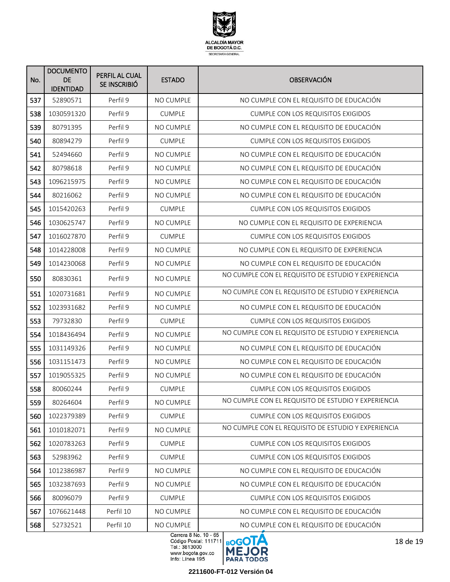

| No. | <b>DOCUMENTO</b><br><b>DE</b><br><b>IDENTIDAD</b> | PERFIL AL CUAL<br>SE INSCRIBIÓ | <b>ESTADO</b>                   | <b>OBSERVACIÓN</b>                                  |
|-----|---------------------------------------------------|--------------------------------|---------------------------------|-----------------------------------------------------|
| 537 | 52890571                                          | Perfil 9                       | NO CUMPLE                       | NO CUMPLE CON EL REQUISITO DE EDUCACIÓN             |
| 538 | 1030591320                                        | Perfil 9                       | <b>CUMPLE</b>                   | <b>CUMPLE CON LOS REQUISITOS EXIGIDOS</b>           |
| 539 | 80791395                                          | Perfil 9                       | NO CUMPLE                       | NO CUMPLE CON EL REQUISITO DE EDUCACIÓN             |
| 540 | 80894279                                          | Perfil 9                       | <b>CUMPLE</b>                   | <b>CUMPLE CON LOS REQUISITOS EXIGIDOS</b>           |
| 541 | 52494660                                          | Perfil 9                       | <b>NO CUMPLE</b>                | NO CUMPLE CON EL REQUISITO DE EDUCACIÓN             |
| 542 | 80798618                                          | Perfil 9                       | <b>NO CUMPLE</b>                | NO CUMPLE CON EL REQUISITO DE EDUCACIÓN             |
| 543 | 1096215975                                        | Perfil 9                       | <b>NO CUMPLE</b>                | NO CUMPLE CON EL REQUISITO DE EDUCACIÓN             |
| 544 | 80216062                                          | Perfil 9                       | NO CUMPLE                       | NO CUMPLE CON EL REQUISITO DE EDUCACIÓN             |
| 545 | 1015420263                                        | Perfil 9                       | <b>CUMPLE</b>                   | <b>CUMPLE CON LOS REQUISITOS EXIGIDOS</b>           |
| 546 | 1030625747                                        | Perfil 9                       | <b>NO CUMPLE</b>                | NO CUMPLE CON EL REQUISITO DE EXPERIENCIA           |
| 547 | 1016027870                                        | Perfil 9                       | <b>CUMPLE</b>                   | <b>CUMPLE CON LOS REQUISITOS EXIGIDOS</b>           |
| 548 | 1014228008                                        | Perfil 9                       | <b>NO CUMPLE</b>                | NO CUMPLE CON EL REQUISITO DE EXPERIENCIA           |
| 549 | 1014230068                                        | Perfil 9                       | <b>NO CUMPLE</b>                | NO CUMPLE CON EL REQUISITO DE EDUCACIÓN             |
| 550 | 80830361                                          | Perfil 9                       | <b>NO CUMPLE</b>                | NO CUMPLE CON EL REQUISITO DE ESTUDIO Y EXPERIENCIA |
| 551 | 1020731681                                        | Perfil 9                       | <b>NO CUMPLE</b>                | NO CUMPLE CON EL REQUISITO DE ESTUDIO Y EXPERIENCIA |
| 552 | 1023931682                                        | Perfil 9                       | <b>NO CUMPLE</b>                | NO CUMPLE CON EL REQUISITO DE EDUCACIÓN             |
| 553 | 79732830                                          | Perfil 9                       | <b>CUMPLE</b>                   | <b>CUMPLE CON LOS REQUISITOS EXIGIDOS</b>           |
| 554 | 1018436494                                        | Perfil 9                       | NO CUMPLE                       | NO CUMPLE CON EL REQUISITO DE ESTUDIO Y EXPERIENCIA |
| 555 | 1031149326                                        | Perfil 9                       | <b>NO CUMPLE</b>                | NO CUMPLE CON EL REQUISITO DE EDUCACIÓN             |
| 556 | 1031151473                                        | Perfil 9                       | NO CUMPLE                       | NO CUMPLE CON EL REQUISITO DE EDUCACIÓN             |
| 557 | 1019055325                                        | Perfil 9                       | NO CUMPLE                       | NO CUMPLE CON EL REQUISITO DE EDUCACIÓN             |
| 558 | 80060244                                          | Perfil 9                       | <b>CUMPLE</b>                   | <b>CUMPLE CON LOS REQUISITOS EXIGIDOS</b>           |
| 559 | 80264604                                          | Perfil 9                       | NO CUMPLE                       | NO CUMPLE CON EL REQUISITO DE ESTUDIO Y EXPERIENCIA |
| 560 | 1022379389                                        | Perfil 9                       | <b>CUMPLE</b>                   | CUMPLE CON LOS REQUISITOS EXIGIDOS                  |
| 561 | 1010182071                                        | Perfil 9                       | NO CUMPLE                       | NO CUMPLE CON EL REQUISITO DE ESTUDIO Y EXPERIENCIA |
| 562 | 1020783263                                        | Perfil 9                       | <b>CUMPLE</b>                   | <b>CUMPLE CON LOS REQUISITOS EXIGIDOS</b>           |
| 563 | 52983962                                          | Perfil 9                       | <b>CUMPLE</b>                   | CUMPLE CON LOS REQUISITOS EXIGIDOS                  |
| 564 | 1012386987                                        | Perfil 9                       | NO CUMPLE                       | NO CUMPLE CON EL REQUISITO DE EDUCACIÓN             |
| 565 | 1032387693                                        | Perfil 9                       | NO CUMPLE                       | NO CUMPLE CON EL REQUISITO DE EDUCACIÓN             |
| 566 | 80096079                                          | Perfil 9                       | <b>CUMPLE</b>                   | <b>CUMPLE CON LOS REQUISITOS EXIGIDOS</b>           |
| 567 | 1076621448                                        | Perfil 10                      | NO CUMPLE                       | NO CUMPLE CON EL REQUISITO DE EDUCACIÓN             |
| 568 | 52732521                                          | Perfil 10                      | NO CUMPLE<br>Corrors 8 No 10.65 | NO CUMPLE CON EL REQUISITO DE EDUCACIÓN             |